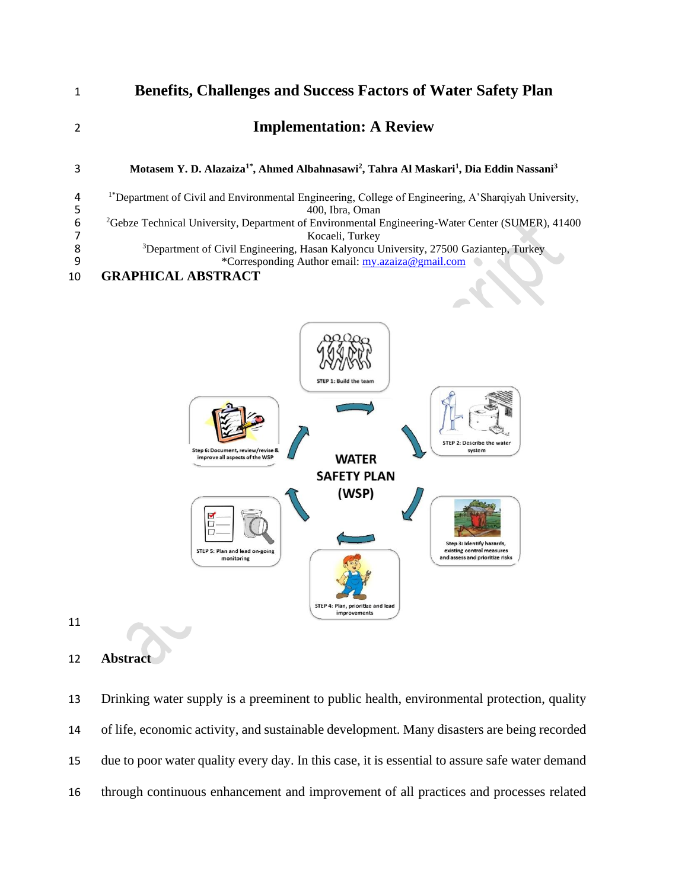



### **Abstract**

 Drinking water supply is a preeminent to public health, environmental protection, quality of life, economic activity, and sustainable development. Many disasters are being recorded due to poor water quality every day. In this case, it is essential to assure safe water demand through continuous enhancement and improvement of all practices and processes related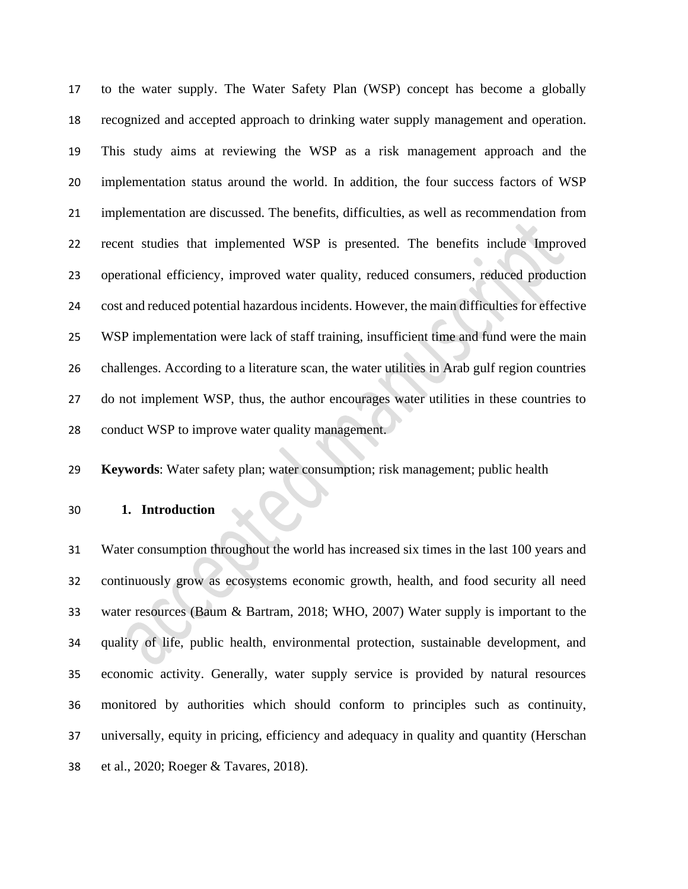to the water supply. The Water Safety Plan (WSP) concept has become a globally recognized and accepted approach to drinking water supply management and operation. This study aims at reviewing the WSP as a risk management approach and the implementation status around the world. In addition, the four success factors of WSP implementation are discussed. The benefits, difficulties, as well as recommendation from recent studies that implemented WSP is presented. The benefits include Improved operational efficiency, improved water quality, reduced consumers, reduced production cost and reduced potential hazardous incidents. However, the main difficulties for effective WSP implementation were lack of staff training, insufficient time and fund were the main challenges. According to a literature scan, the water utilities in Arab gulf region countries do not implement WSP, thus, the author encourages water utilities in these countries to conduct WSP to improve water quality management.

**Keywords**: Water safety plan; water consumption; risk management; public health

**1. Introduction**

 Water consumption throughout the world has increased six times in the last 100 years and continuously grow as ecosystems economic growth, health, and food security all need water resources (Baum & Bartram, 2018; WHO, 2007) Water supply is important to the quality of life, public health, environmental protection, sustainable development, and economic activity. Generally, water supply service is provided by natural resources monitored by authorities which should conform to principles such as continuity, universally, equity in pricing, efficiency and adequacy in quality and quantity (Herschan et al., 2020; Roeger & Tavares, 2018).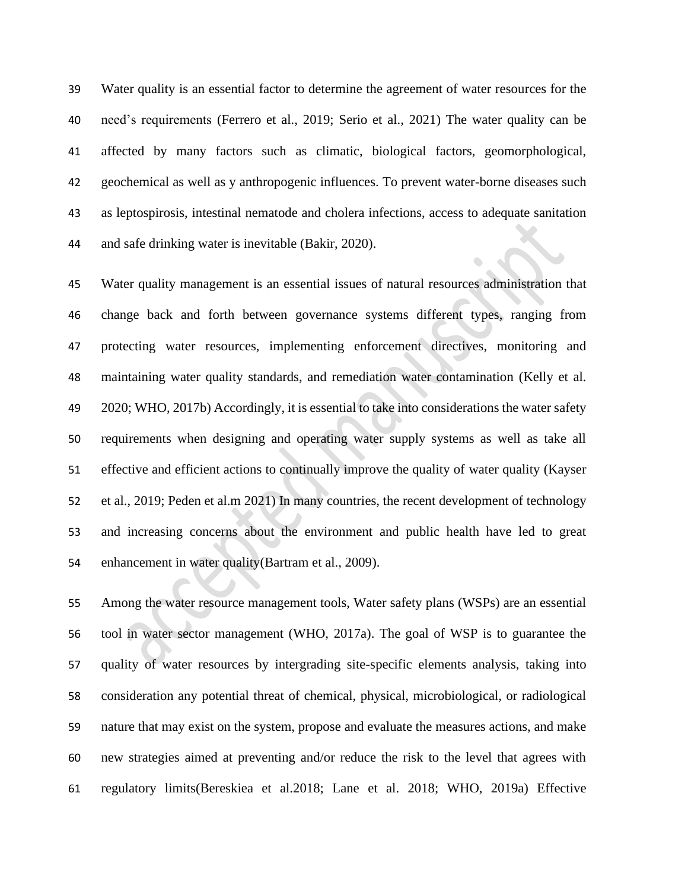Water quality is an essential factor to determine the agreement of water resources for the need's requirements (Ferrero et al., 2019; Serio et al., 2021) The water quality can be affected by many factors such as climatic, biological factors, geomorphological, geochemical as well as y anthropogenic influences. To prevent water-borne diseases such as leptospirosis, intestinal nematode and cholera infections, access to adequate sanitation and safe drinking water is inevitable (Bakir, 2020).

 Water quality management is an essential issues of natural resources administration that change back and forth between governance systems different types, ranging from protecting water resources, implementing enforcement directives, monitoring and maintaining water quality standards, and remediation water contamination (Kelly et al. 2020; WHO, 2017b) Accordingly, it is essential to take into considerations the water safety requirements when designing and operating water supply systems as well as take all effective and efficient actions to continually improve the quality of water quality (Kayser et al., 2019; Peden et al.m 2021) In many countries, the recent development of technology and increasing concerns about the environment and public health have led to great enhancement in water quality(Bartram et al., 2009).

 Among the water resource management tools, Water safety plans (WSPs) are an essential tool in water sector management (WHO, 2017a). The goal of WSP is to guarantee the quality of water resources by intergrading site-specific elements analysis, taking into consideration any potential threat of chemical, physical, microbiological, or radiological nature that may exist on the system, propose and evaluate the measures actions, and make new strategies aimed at preventing and/or reduce the risk to the level that agrees with regulatory limits(Bereskiea et al.2018; Lane et al. 2018; WHO, 2019a) Effective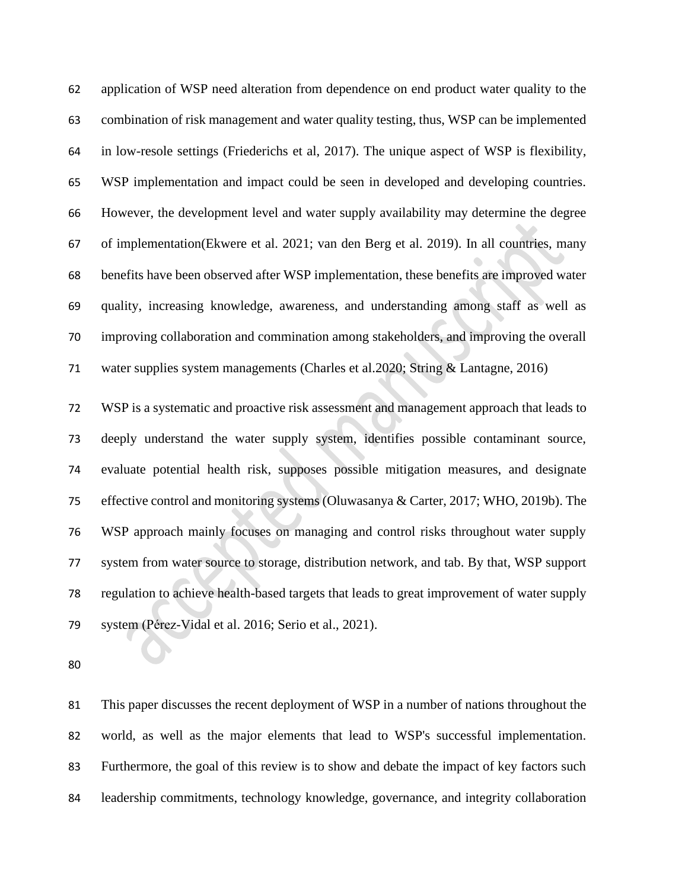application of WSP need alteration from dependence on end product water quality to the combination of risk management and water quality testing, thus, WSP can be implemented in low-resole settings (Friederichs et al, 2017). The unique aspect of WSP is flexibility, WSP implementation and impact could be seen in developed and developing countries. However, the development level and water supply availability may determine the degree of implementation(Ekwere et al. 2021; van den Berg et al. 2019). In all countries, many benefits have been observed after WSP implementation, these benefits are improved water quality, increasing knowledge, awareness, and understanding among staff as well as improving collaboration and commination among stakeholders, and improving the overall water supplies system managements (Charles et al.2020; String & Lantagne, 2016)

 WSP is a systematic and proactive risk assessment and management approach that leads to deeply understand the water supply system, identifies possible contaminant source, evaluate potential health risk, supposes possible mitigation measures, and designate effective control and monitoring systems (Oluwasanya & Carter, 2017; WHO, 2019b). The WSP approach mainly focuses on managing and control risks throughout water supply system from water source to storage, distribution network, and tab. By that, WSP support regulation to achieve health-based targets that leads to great improvement of water supply system (Pérez-Vidal et al. 2016; Serio et al., 2021).

 This paper discusses the recent deployment of WSP in a number of nations throughout the world, as well as the major elements that lead to WSP's successful implementation. Furthermore, the goal of this review is to show and debate the impact of key factors such leadership commitments, technology knowledge, governance, and integrity collaboration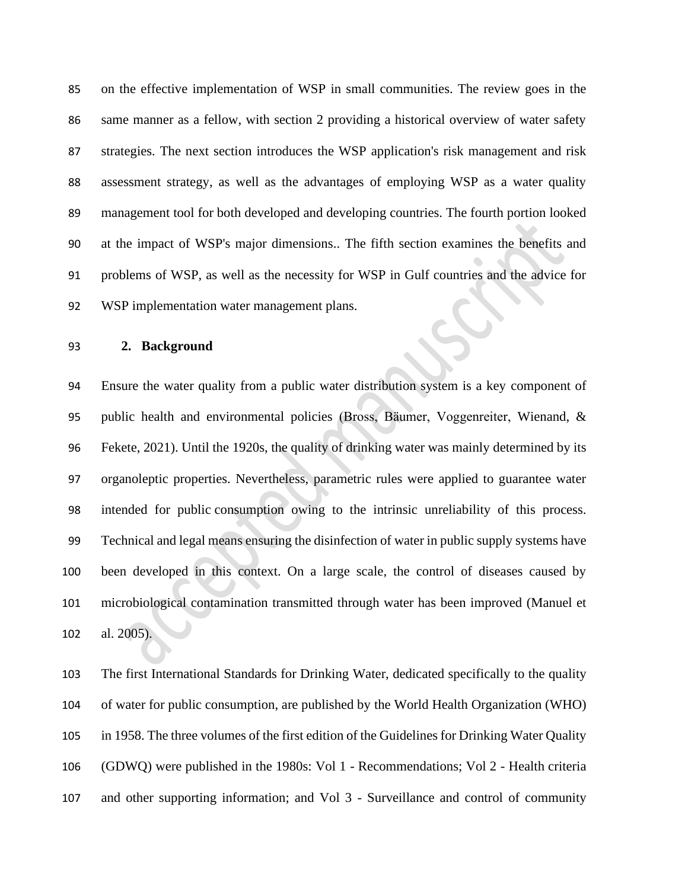on the effective implementation of WSP in small communities. The review goes in the same manner as a fellow, with section 2 providing a historical overview of water safety strategies. The next section introduces the WSP application's risk management and risk assessment strategy, as well as the advantages of employing WSP as a water quality management tool for both developed and developing countries. The fourth portion looked at the impact of WSP's major dimensions.. The fifth section examines the benefits and problems of WSP, as well as the necessity for WSP in Gulf countries and the advice for WSP implementation water management plans.

### **2. Background**

 Ensure the water quality from a public water distribution system is a key component of public health and environmental policies (Bross, Bäumer, Voggenreiter, Wienand, & Fekete, 2021). Until the 1920s, the quality of drinking water was mainly determined by its organoleptic properties. Nevertheless, parametric rules were applied to guarantee water intended for public consumption owing to the intrinsic unreliability of this process. Technical and legal means ensuring the disinfection of water in public supply systems have been developed in this context. On a large scale, the control of diseases caused by microbiological contamination transmitted through water has been improved (Manuel et al. 2005).

 The first International Standards for Drinking Water, dedicated specifically to the quality of water for public consumption, are published by the World Health Organization (WHO) in 1958. The three volumes of the first edition of the Guidelines for Drinking Water Quality (GDWQ) were published in the 1980s: Vol 1 - Recommendations; Vol 2 - Health criteria and other supporting information; and Vol 3 - Surveillance and control of community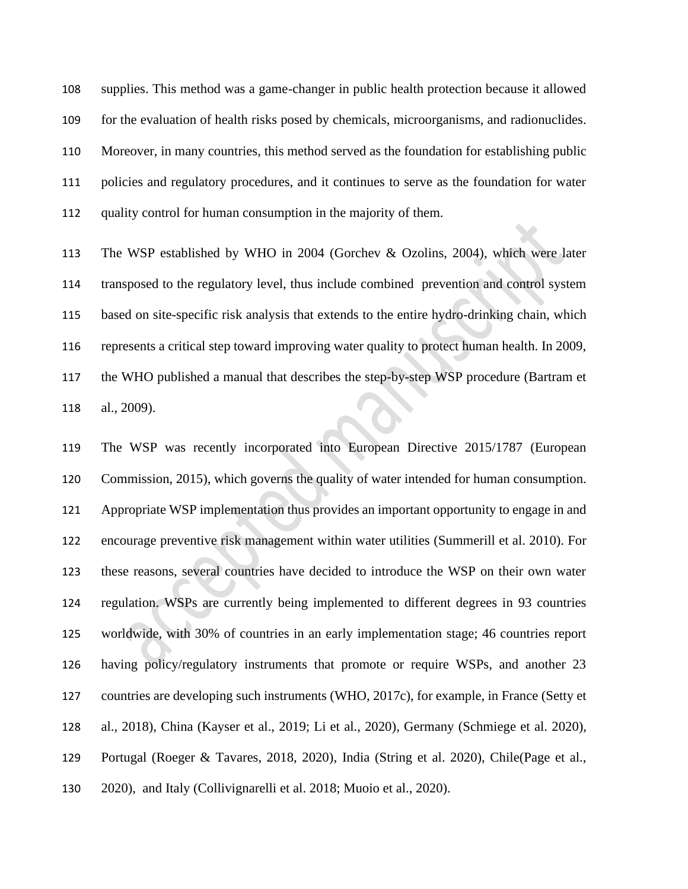supplies. This method was a game-changer in public health protection because it allowed for the evaluation of health risks posed by chemicals, microorganisms, and radionuclides. Moreover, in many countries, this method served as the foundation for establishing public policies and regulatory procedures, and it continues to serve as the foundation for water quality control for human consumption in the majority of them.

 The WSP established by WHO in 2004 (Gorchev & Ozolins, 2004), which were later transposed to the regulatory level, thus include combined prevention and control system based on site-specific risk analysis that extends to the entire hydro-drinking chain, which represents a critical step toward improving water quality to protect human health. In 2009, the WHO published a manual that describes the step-by-step WSP procedure (Bartram et al., 2009).

 The WSP was recently incorporated into European Directive 2015/1787 (European Commission, 2015), which governs the quality of water intended for human consumption. Appropriate WSP implementation thus provides an important opportunity to engage in and encourage preventive risk management within water utilities (Summerill et al. 2010). For these reasons, several countries have decided to introduce the WSP on their own water regulation. WSPs are currently being implemented to different degrees in 93 countries worldwide, with 30% of countries in an early implementation stage; 46 countries report having policy/regulatory instruments that promote or require WSPs, and another 23 countries are developing such instruments (WHO, 2017c), for example, in France (Setty et al., 2018), China (Kayser et al., 2019; Li et al., 2020), Germany (Schmiege et al. 2020), Portugal (Roeger & Tavares, 2018, 2020), India (String et al. 2020), Chile(Page et al., 2020), and Italy (Collivignarelli et al. 2018; Muoio et al., 2020).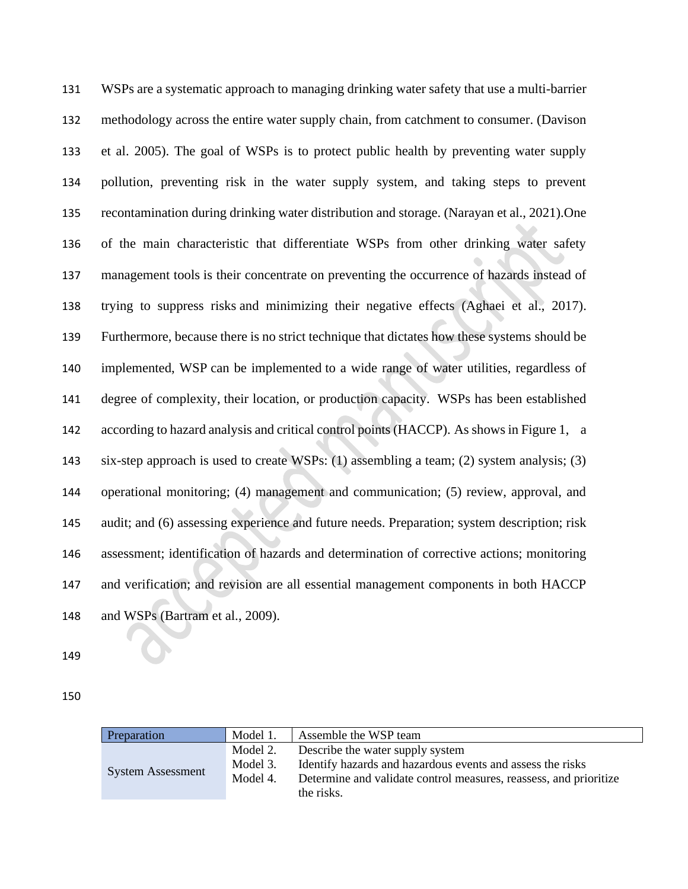WSPs are a systematic approach to managing drinking water safety that use a multi-barrier methodology across the entire water supply chain, from catchment to consumer. (Davison et al. 2005). The goal of WSPs is to protect public health by preventing water supply pollution, preventing risk in the water supply system, and taking steps to prevent recontamination during drinking water distribution and storage. (Narayan et al., 2021).One of the main characteristic that differentiate WSPs from other drinking water safety management tools is their concentrate on preventing the occurrence of hazards instead of trying to suppress risks and minimizing their negative effects (Aghaei et al., 2017). Furthermore, because there is no strict technique that dictates how these systems should be implemented, WSP can be implemented to a wide range of water utilities, regardless of degree of complexity, their location, or production capacity. WSPs has been established according to hazard analysis and critical control points (HACCP). As shows in Figure 1, a six-step approach is used to create WSPs: (1) assembling a team; (2) system analysis; (3) operational monitoring; (4) management and communication; (5) review, approval, and audit; and (6) assessing experience and future needs. Preparation; system description; risk assessment; identification of hazards and determination of corrective actions; monitoring and verification; and revision are all essential management components in both HACCP and WSPs (Bartram et al., 2009).

| Preparation              | Model 1. | Assemble the WSP team                                             |
|--------------------------|----------|-------------------------------------------------------------------|
| <b>System Assessment</b> | Model 2. | Describe the water supply system                                  |
|                          | Model 3. | Identify hazards and hazardous events and assess the risks        |
|                          | Model 4. | Determine and validate control measures, reassess, and prioritize |
|                          |          | the risks.                                                        |
|                          |          |                                                                   |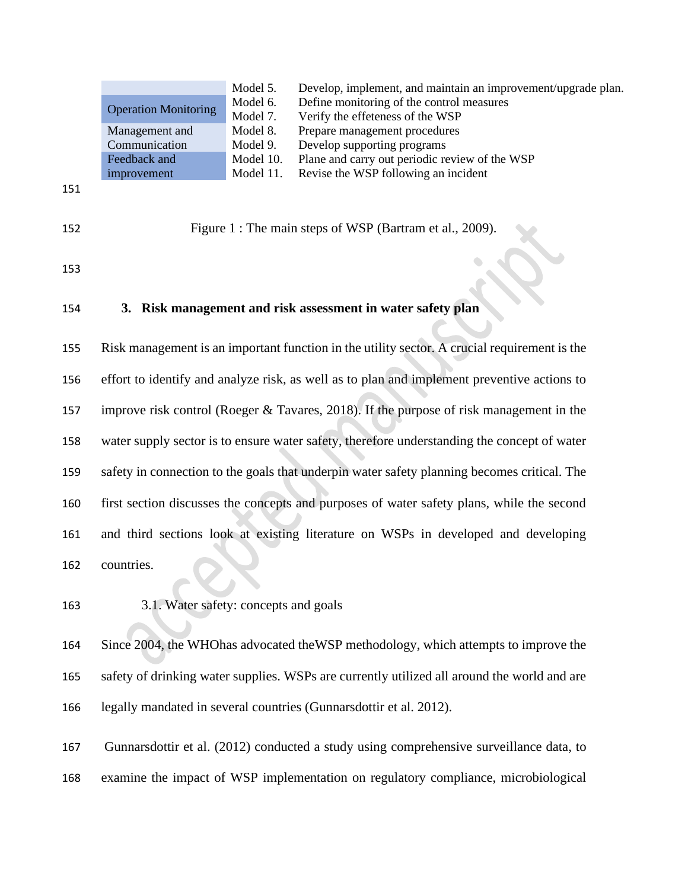|                             |                | Model 5.  | Develop, implement, and maintain an improvement/upgrade plan. |
|-----------------------------|----------------|-----------|---------------------------------------------------------------|
| <b>Operation Monitoring</b> |                | Model 6.  | Define monitoring of the control measures                     |
|                             |                | Model 7.  | Verify the effeteness of the WSP                              |
|                             | Management and | Model 8.  | Prepare management procedures                                 |
|                             | Communication  | Model 9.  | Develop supporting programs                                   |
|                             | Feedback and   | Model 10. | Plane and carry out periodic review of the WSP                |
|                             | improvement    | Model 11. | Revise the WSP following an incident                          |

```
151
```
Figure 1 : The main steps of WSP (Bartram et al., 2009).

# **3. Risk management and risk assessment in water safety plan**

 Risk management is an important function in the utility sector. A crucial requirement is the effort to identify and analyze risk, as well as to plan and implement preventive actions to improve risk control (Roeger & Tavares, 2018). If the purpose of risk management in the water supply sector is to ensure water safety, therefore understanding the concept of water safety in connection to the goals that underpin water safety planning becomes critical. The first section discusses the concepts and purposes of water safety plans, while the second and third sections look at existing literature on WSPs in developed and developing countries.

3.1. Water safety: concepts and goals

 Since 2004, the WHOhas advocated theWSP methodology, which attempts to improve the safety of drinking water supplies. WSPs are currently utilized all around the world and are legally mandated in several countries (Gunnarsdottir et al. 2012).

 Gunnarsdottir et al. (2012) conducted a study using comprehensive surveillance data, to examine the impact of WSP implementation on regulatory compliance, microbiological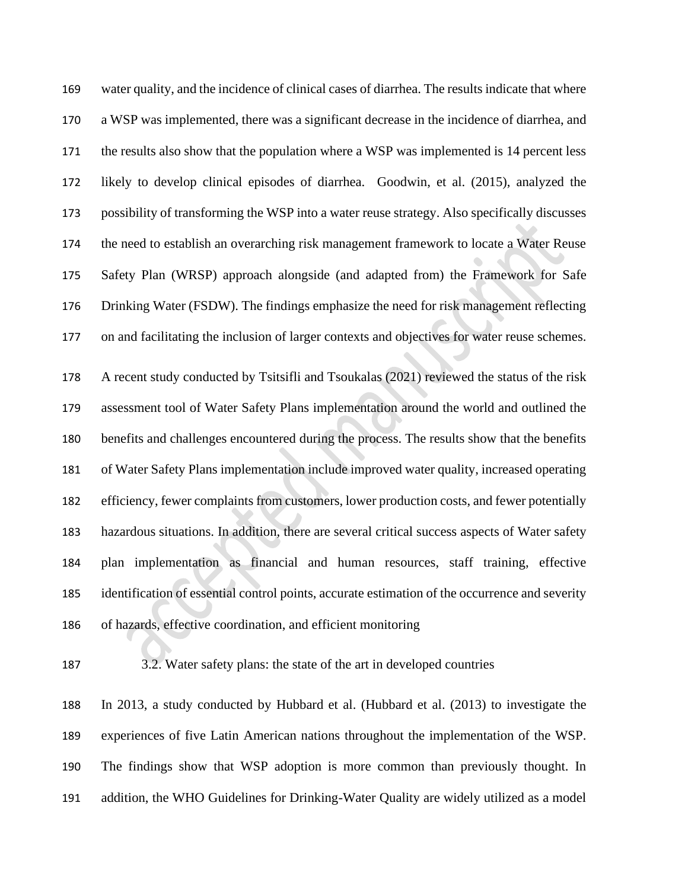water quality, and the incidence of clinical cases of diarrhea. The results indicate that where a WSP was implemented, there was a significant decrease in the incidence of diarrhea, and 171 the results also show that the population where a WSP was implemented is 14 percent less likely to develop clinical episodes of diarrhea. Goodwin, et al. (2015), analyzed the possibility of transforming the WSP into a water reuse strategy. Also specifically discusses the need to establish an overarching risk management framework to locate a Water Reuse Safety Plan (WRSP) approach alongside (and adapted from) the Framework for Safe Drinking Water (FSDW). The findings emphasize the need for risk management reflecting on and facilitating the inclusion of larger contexts and objectives for water reuse schemes.

 A recent study conducted by Tsitsifli and Tsoukalas (2021) reviewed the status of the risk assessment tool of Water Safety Plans implementation around the world and outlined the benefits and challenges encountered during the process. The results show that the benefits of Water Safety Plans implementation include improved water quality, increased operating efficiency, fewer complaints from customers, lower production costs, and fewer potentially hazardous situations. In addition, there are several critical success aspects of Water safety plan implementation as financial and human resources, staff training, effective identification of essential control points, accurate estimation of the occurrence and severity of hazards, effective coordination, and efficient monitoring

3.2. Water safety plans: the state of the art in developed countries

 In 2013, a study conducted by Hubbard et al. (Hubbard et al. (2013) to investigate the experiences of five Latin American nations throughout the implementation of the WSP. The findings show that WSP adoption is more common than previously thought. In addition, the WHO Guidelines for Drinking-Water Quality are widely utilized as a model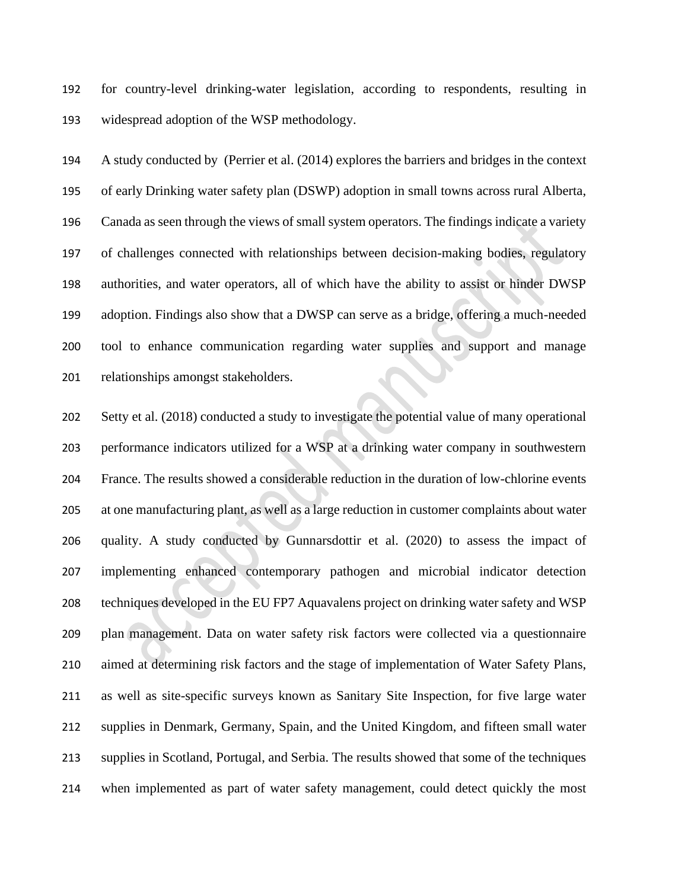for country-level drinking-water legislation, according to respondents, resulting in widespread adoption of the WSP methodology.

 A study conducted by (Perrier et al. (2014) explores the barriers and bridges in the context of early Drinking water safety plan (DSWP) adoption in small towns across rural Alberta, Canada as seen through the views of small system operators. The findings indicate a variety of challenges connected with relationships between decision-making bodies, regulatory authorities, and water operators, all of which have the ability to assist or hinder DWSP adoption. Findings also show that a DWSP can serve as a bridge, offering a much-needed tool to enhance communication regarding water supplies and support and manage relationships amongst stakeholders.

 Setty et al. (2018) conducted a study to investigate the potential value of many operational performance indicators utilized for a WSP at a drinking water company in southwestern France. The results showed a considerable reduction in the duration of low-chlorine events at one manufacturing plant, as well as a large reduction in customer complaints about water quality. A study conducted by Gunnarsdottir et al. (2020) to assess the impact of implementing enhanced contemporary pathogen and microbial indicator detection techniques developed in the EU FP7 Aquavalens project on drinking water safety and WSP plan management. Data on water safety risk factors were collected via a questionnaire aimed at determining risk factors and the stage of implementation of Water Safety Plans, as well as site-specific surveys known as Sanitary Site Inspection, for five large water supplies in Denmark, Germany, Spain, and the United Kingdom, and fifteen small water supplies in Scotland, Portugal, and Serbia. The results showed that some of the techniques when implemented as part of water safety management, could detect quickly the most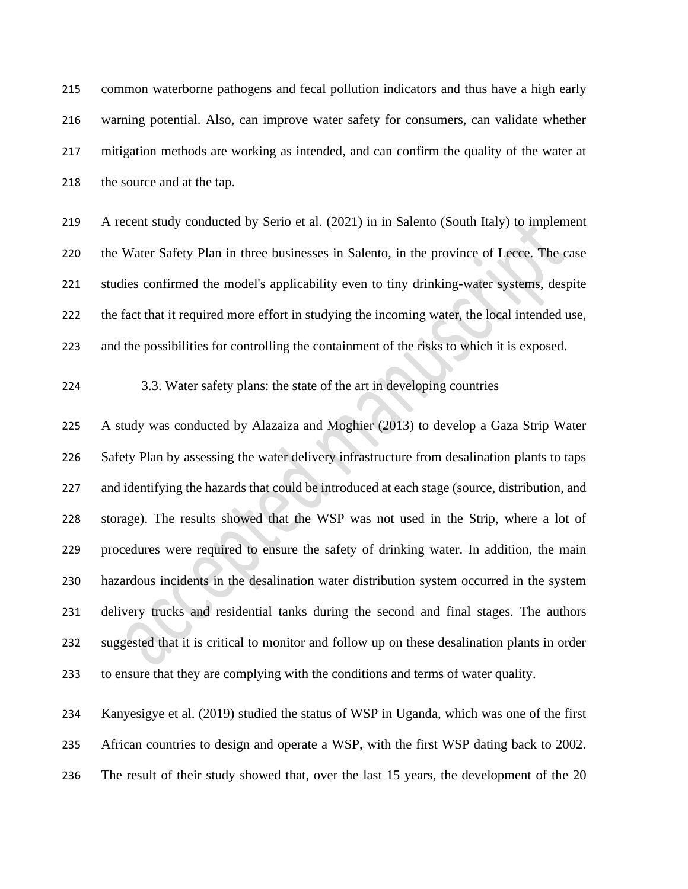common waterborne pathogens and fecal pollution indicators and thus have a high early warning potential. Also, can improve water safety for consumers, can validate whether mitigation methods are working as intended, and can confirm the quality of the water at 218 the source and at the tap.

 A recent study conducted by Serio et al. (2021) in in Salento (South Italy) to implement the Water Safety Plan in three businesses in Salento, in the province of Lecce. The case studies confirmed the model's applicability even to tiny drinking-water systems, despite the fact that it required more effort in studying the incoming water, the local intended use, and the possibilities for controlling the containment of the risks to which it is exposed.

## 3.3. Water safety plans: the state of the art in developing countries

 A study was conducted by Alazaiza and Moghier (2013) to develop a Gaza Strip Water Safety Plan by assessing the water delivery infrastructure from desalination plants to taps 227 and identifying the hazards that could be introduced at each stage (source, distribution, and storage). The results showed that the WSP was not used in the Strip, where a lot of procedures were required to ensure the safety of drinking water. In addition, the main hazardous incidents in the desalination water distribution system occurred in the system delivery trucks and residential tanks during the second and final stages. The authors suggested that it is critical to monitor and follow up on these desalination plants in order to ensure that they are complying with the conditions and terms of water quality.

 Kanyesigye et al. (2019) studied the status of WSP in Uganda, which was one of the first African countries to design and operate a WSP, with the first WSP dating back to 2002. The result of their study showed that, over the last 15 years, the development of the 20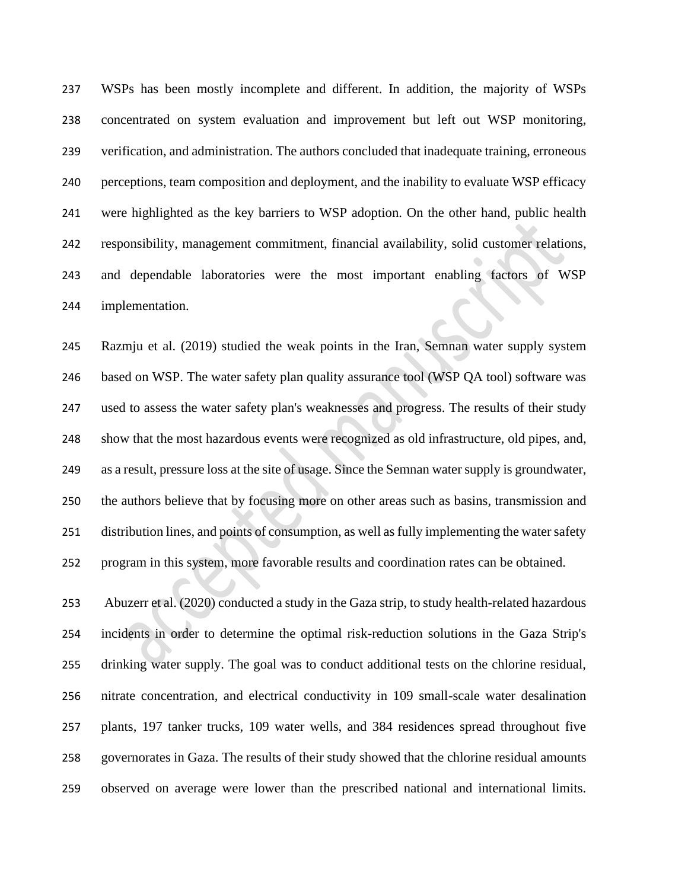WSPs has been mostly incomplete and different. In addition, the majority of WSPs concentrated on system evaluation and improvement but left out WSP monitoring, verification, and administration. The authors concluded that inadequate training, erroneous perceptions, team composition and deployment, and the inability to evaluate WSP efficacy were highlighted as the key barriers to WSP adoption. On the other hand, public health responsibility, management commitment, financial availability, solid customer relations, and dependable laboratories were the most important enabling factors of WSP implementation.

 Razmju et al. (2019) studied the weak points in the Iran, Semnan water supply system based on WSP. The water safety plan quality assurance tool (WSP QA tool) software was used to assess the water safety plan's weaknesses and progress. The results of their study show that the most hazardous events were recognized as old infrastructure, old pipes, and, as a result, pressure loss at the site of usage. Since the Semnan water supply is groundwater, the authors believe that by focusing more on other areas such as basins, transmission and distribution lines, and points of consumption, as well as fully implementing the water safety program in this system, more favorable results and coordination rates can be obtained.

 Abuzerr et al. (2020) conducted a study in the Gaza strip, to study health-related hazardous incidents in order to determine the optimal risk-reduction solutions in the Gaza Strip's drinking water supply. The goal was to conduct additional tests on the chlorine residual, nitrate concentration, and electrical conductivity in 109 small-scale water desalination plants, 197 tanker trucks, 109 water wells, and 384 residences spread throughout five governorates in Gaza. The results of their study showed that the chlorine residual amounts observed on average were lower than the prescribed national and international limits.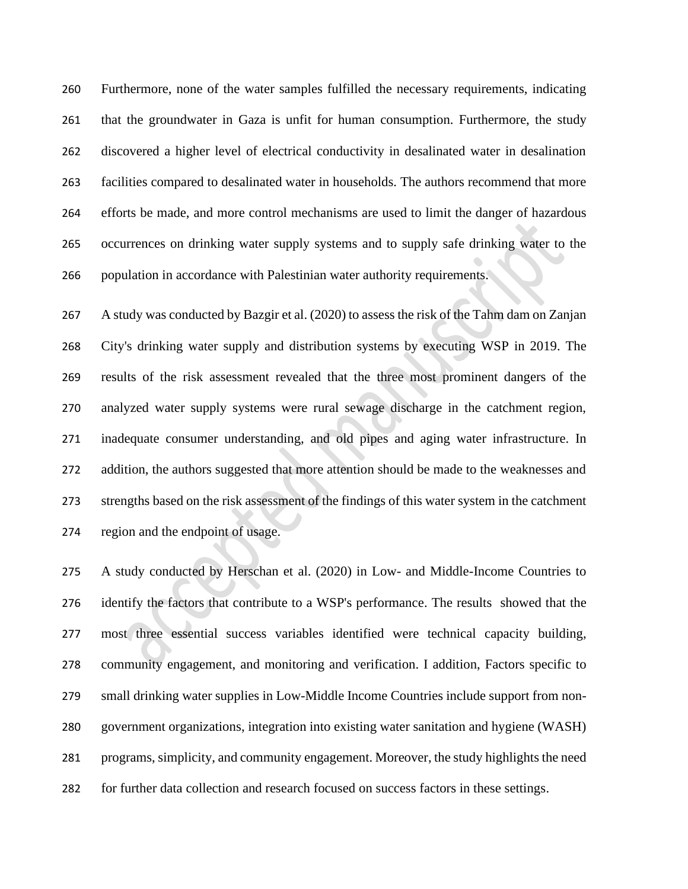Furthermore, none of the water samples fulfilled the necessary requirements, indicating that the groundwater in Gaza is unfit for human consumption. Furthermore, the study discovered a higher level of electrical conductivity in desalinated water in desalination facilities compared to desalinated water in households. The authors recommend that more efforts be made, and more control mechanisms are used to limit the danger of hazardous occurrences on drinking water supply systems and to supply safe drinking water to the 266 population in accordance with Palestinian water authority requirements.

 A study was conducted by Bazgir et al. (2020) to assess the risk of the Tahm dam on Zanjan City's drinking water supply and distribution systems by executing WSP in 2019. The results of the risk assessment revealed that the three most prominent dangers of the analyzed water supply systems were rural sewage discharge in the catchment region, inadequate consumer understanding, and old pipes and aging water infrastructure. In 272 addition, the authors suggested that more attention should be made to the weaknesses and strengths based on the risk assessment of the findings of this water system in the catchment region and the endpoint of usage.

 A study conducted by Herschan et al. (2020) in Low- and Middle-Income Countries to identify the factors that contribute to a WSP's performance. The results showed that the most three essential success variables identified were technical capacity building, community engagement, and monitoring and verification. I addition, Factors specific to small drinking water supplies in Low-Middle Income Countries include support from non- government organizations, integration into existing water sanitation and hygiene (WASH) programs, simplicity, and community engagement. Moreover, the study highlights the need for further data collection and research focused on success factors in these settings.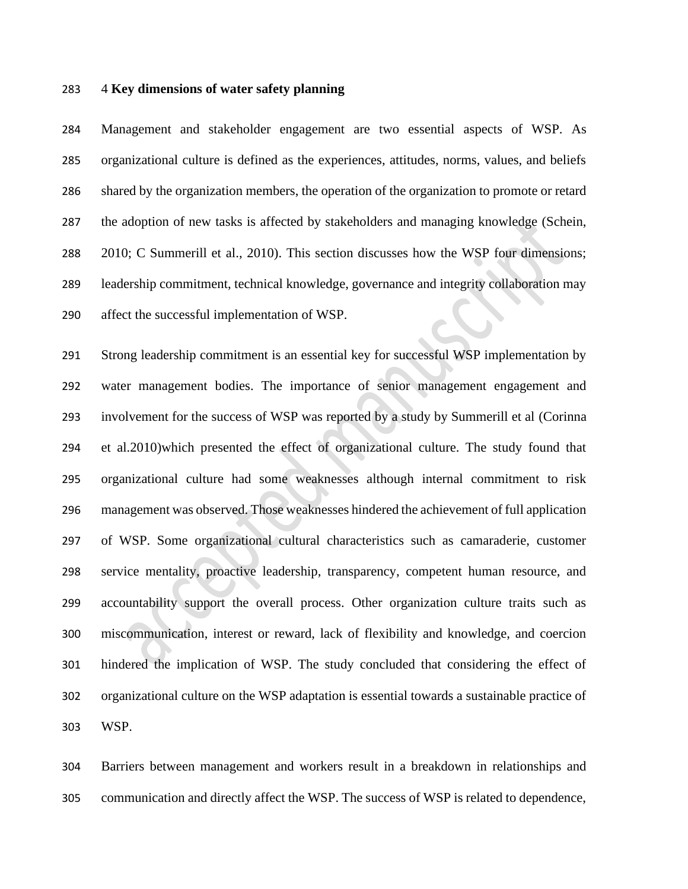#### 4 **Key dimensions of water safety planning**

 Management and stakeholder engagement are two essential aspects of WSP. As organizational culture is defined as the experiences, attitudes, norms, values, and beliefs shared by the organization members, the operation of the organization to promote or retard the adoption of new tasks is affected by stakeholders and managing knowledge (Schein, 2010; C Summerill et al., 2010). This section discusses how the WSP four dimensions; leadership commitment, technical knowledge, governance and integrity collaboration may affect the successful implementation of WSP.

 Strong leadership commitment is an essential key for successful WSP implementation by water management bodies. The importance of senior management engagement and involvement for the success of WSP was reported by a study by Summerill et al (Corinna et al.2010)which presented the effect of organizational culture. The study found that organizational culture had some weaknesses although internal commitment to risk management was observed. Those weaknesses hindered the achievement of full application of WSP. Some organizational cultural characteristics such as camaraderie, customer service mentality, proactive leadership, transparency, competent human resource, and accountability support the overall process. Other organization culture traits such as miscommunication, interest or reward, lack of flexibility and knowledge, and coercion hindered the implication of WSP. The study concluded that considering the effect of organizational culture on the WSP adaptation is essential towards a sustainable practice of WSP.

 Barriers between management and workers result in a breakdown in relationships and communication and directly affect the WSP. The success of WSP is related to dependence,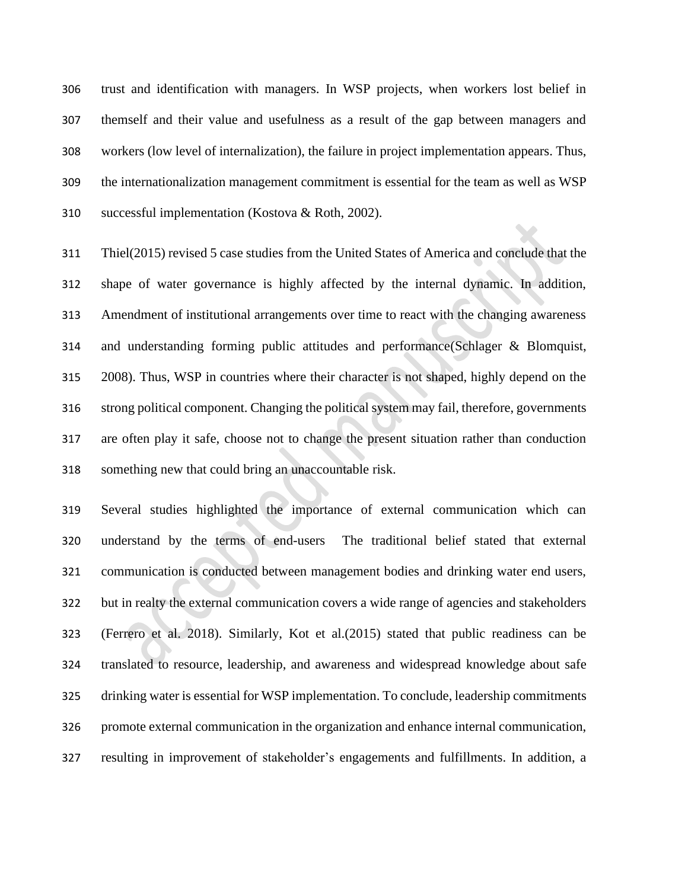trust and identification with managers. In WSP projects, when workers lost belief in themself and their value and usefulness as a result of the gap between managers and workers (low level of internalization), the failure in project implementation appears. Thus, the internationalization management commitment is essential for the team as well as WSP successful implementation (Kostova & Roth, 2002).

 Thiel(2015) revised 5 case studies from the United States of America and conclude that the shape of water governance is highly affected by the internal dynamic. In addition, Amendment of institutional arrangements over time to react with the changing awareness and understanding forming public attitudes and performance(Schlager & Blomquist, 2008). Thus, WSP in countries where their character is not shaped, highly depend on the strong political component. Changing the political system may fail, therefore, governments are often play it safe, choose not to change the present situation rather than conduction something new that could bring an unaccountable risk.

 Several studies highlighted the importance of external communication which can understand by the terms of end-users The traditional belief stated that external communication is conducted between management bodies and drinking water end users, but in realty the external communication covers a wide range of agencies and stakeholders (Ferrero et al. 2018). Similarly, Kot et al.(2015) stated that public readiness can be translated to resource, leadership, and awareness and widespread knowledge about safe drinking water is essential for WSP implementation. To conclude, leadership commitments promote external communication in the organization and enhance internal communication, resulting in improvement of stakeholder's engagements and fulfillments. In addition, a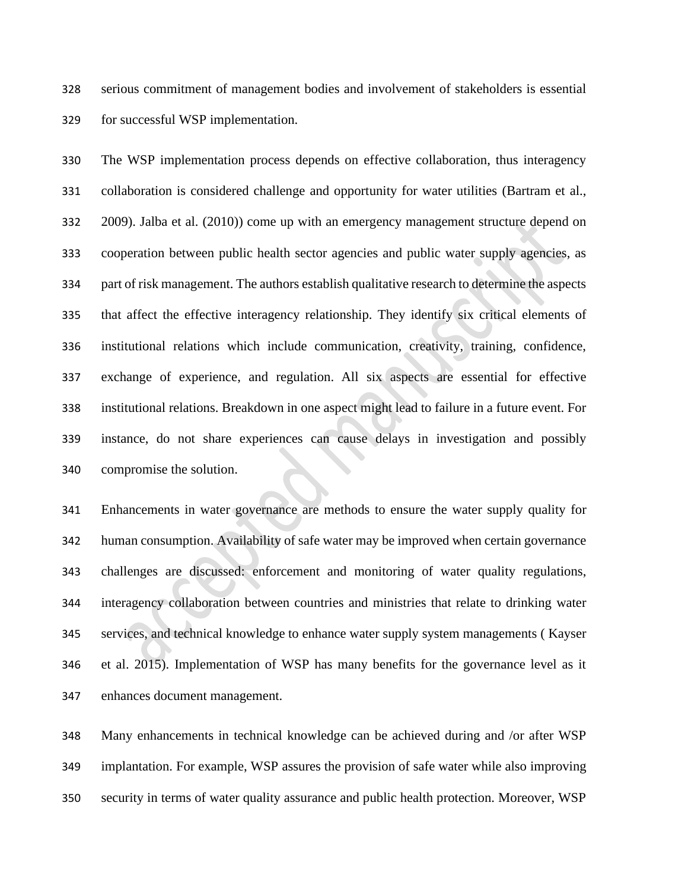serious commitment of management bodies and involvement of stakeholders is essential for successful WSP implementation.

 The WSP implementation process depends on effective collaboration, thus interagency collaboration is considered challenge and opportunity for water utilities (Bartram et al., 2009). Jalba et al. (2010)) come up with an emergency management structure depend on cooperation between public health sector agencies and public water supply agencies, as part of risk management. The authors establish qualitative research to determine the aspects that affect the effective interagency relationship. They identify six critical elements of institutional relations which include communication, creativity, training, confidence, exchange of experience, and regulation. All six aspects are essential for effective institutional relations. Breakdown in one aspect might lead to failure in a future event. For instance, do not share experiences can cause delays in investigation and possibly compromise the solution.

 Enhancements in water governance are methods to ensure the water supply quality for human consumption. Availability of safe water may be improved when certain governance challenges are discussed: enforcement and monitoring of water quality regulations, interagency collaboration between countries and ministries that relate to drinking water services, and technical knowledge to enhance water supply system managements ( Kayser et al. 2015). Implementation of WSP has many benefits for the governance level as it enhances document management.

 Many enhancements in technical knowledge can be achieved during and /or after WSP implantation. For example, WSP assures the provision of safe water while also improving security in terms of water quality assurance and public health protection. Moreover, WSP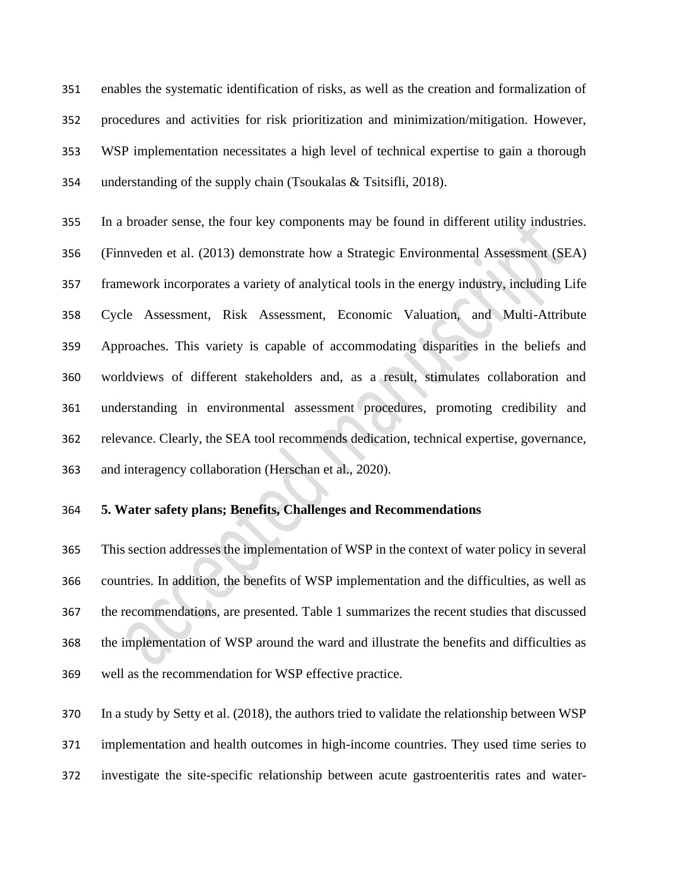enables the systematic identification of risks, as well as the creation and formalization of procedures and activities for risk prioritization and minimization/mitigation. However, WSP implementation necessitates a high level of technical expertise to gain a thorough understanding of the supply chain (Tsoukalas & Tsitsifli, 2018).

 In a broader sense, the four key components may be found in different utility industries. (Finnveden et al. (2013) demonstrate how a Strategic Environmental Assessment (SEA) framework incorporates a variety of analytical tools in the energy industry, including Life Cycle Assessment, Risk Assessment, Economic Valuation, and Multi-Attribute Approaches. This variety is capable of accommodating disparities in the beliefs and worldviews of different stakeholders and, as a result, stimulates collaboration and understanding in environmental assessment procedures, promoting credibility and relevance. Clearly, the SEA tool recommends dedication, technical expertise, governance, and interagency collaboration (Herschan et al., 2020).

### **5. Water safety plans; Benefits, Challenges and Recommendations**

 This section addresses the implementation of WSP in the context of water policy in several countries. In addition, the benefits of WSP implementation and the difficulties, as well as the recommendations, are presented. Table 1 summarizes the recent studies that discussed the implementation of WSP around the ward and illustrate the benefits and difficulties as well as the recommendation for WSP effective practice.

 In a study by Setty et al. (2018), the authors tried to validate the relationship between WSP implementation and health outcomes in high-income countries. They used time series to investigate the site-specific relationship between acute gastroenteritis rates and water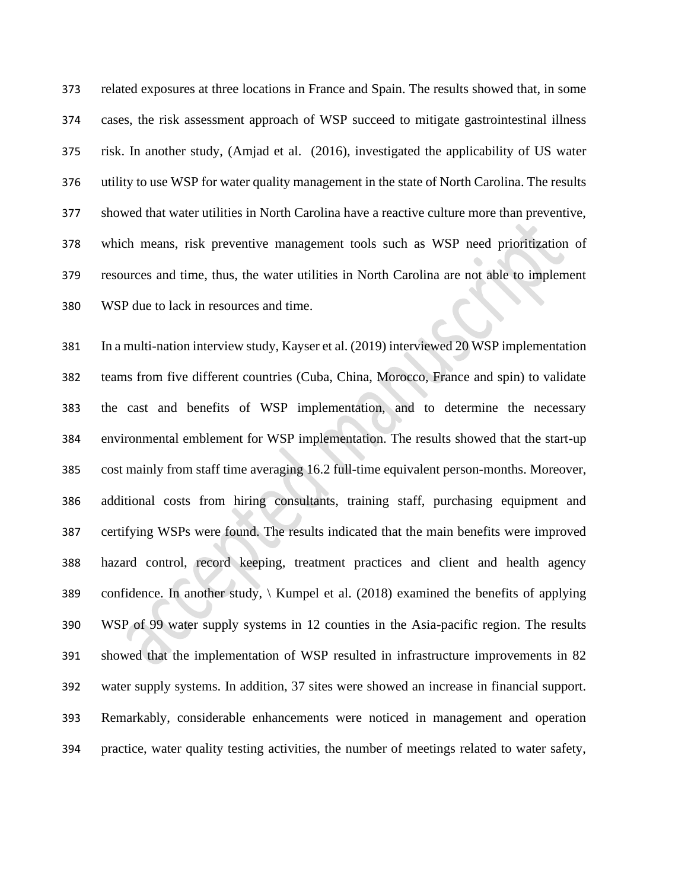related exposures at three locations in France and Spain. The results showed that, in some cases, the risk assessment approach of WSP succeed to mitigate gastrointestinal illness risk. In another study, (Amjad et al. (2016), investigated the applicability of US water utility to use WSP for water quality management in the state of North Carolina. The results showed that water utilities in North Carolina have a reactive culture more than preventive, which means, risk preventive management tools such as WSP need prioritization of resources and time, thus, the water utilities in North Carolina are not able to implement WSP due to lack in resources and time.

 In a multi-nation interview study, Kayser et al. (2019) interviewed 20 WSP implementation teams from five different countries (Cuba, China, Morocco, France and spin) to validate the cast and benefits of WSP implementation, and to determine the necessary environmental emblement for WSP implementation. The results showed that the start-up cost mainly from staff time averaging 16.2 full-time equivalent person-months. Moreover, additional costs from hiring consultants, training staff, purchasing equipment and certifying WSPs were found. The results indicated that the main benefits were improved hazard control, record keeping, treatment practices and client and health agency confidence. In another study, \ Kumpel et al. (2018) examined the benefits of applying WSP of 99 water supply systems in 12 counties in the Asia-pacific region. The results showed that the implementation of WSP resulted in infrastructure improvements in 82 water supply systems. In addition, 37 sites were showed an increase in financial support. Remarkably, considerable enhancements were noticed in management and operation practice, water quality testing activities, the number of meetings related to water safety,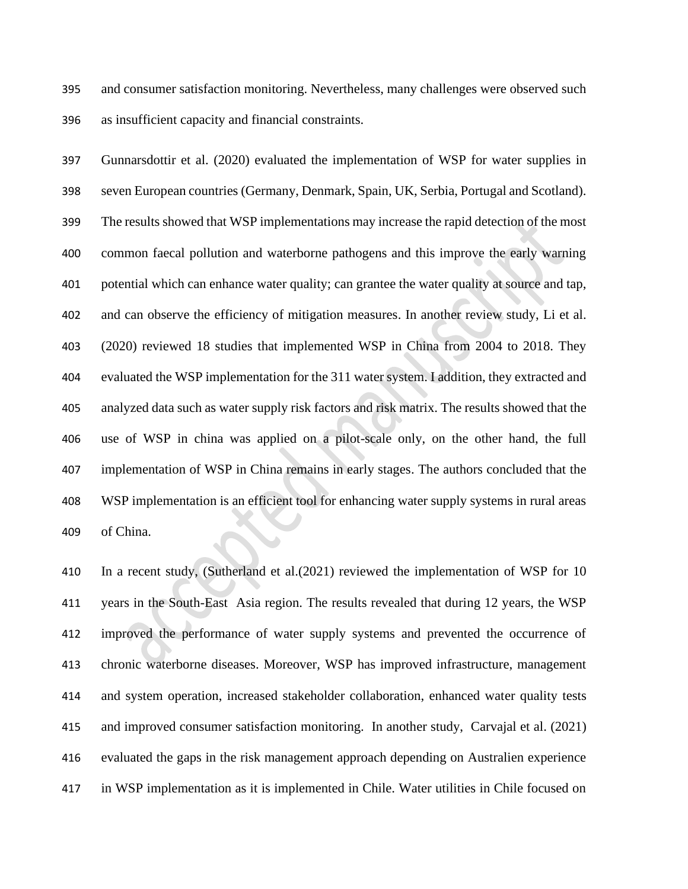and consumer satisfaction monitoring. Nevertheless, many challenges were observed such as insufficient capacity and financial constraints.

 Gunnarsdottir et al. (2020) evaluated the implementation of WSP for water supplies in seven European countries (Germany, Denmark, Spain, UK, Serbia, Portugal and Scotland). The results showed that WSP implementations may increase the rapid detection of the most common faecal pollution and waterborne pathogens and this improve the early warning potential which can enhance water quality; can grantee the water quality at source and tap, and can observe the efficiency of mitigation measures. In another review study, Li et al. (2020) reviewed 18 studies that implemented WSP in China from 2004 to 2018. They evaluated the WSP implementation for the 311 water system. I addition, they extracted and analyzed data such as water supply risk factors and risk matrix. The results showed that the use of WSP in china was applied on a pilot-scale only, on the other hand, the full implementation of WSP in China remains in early stages. The authors concluded that the WSP implementation is an efficient tool for enhancing water supply systems in rural areas of China.

 In a recent study, (Sutherland et al.(2021) reviewed the implementation of WSP for 10 years in the South-East Asia region. The results revealed that during 12 years, the WSP improved the performance of water supply systems and prevented the occurrence of chronic waterborne diseases. Moreover, WSP has improved infrastructure, management and system operation, increased stakeholder collaboration, enhanced water quality tests and improved consumer satisfaction monitoring. In another study, Carvajal et al. (2021) evaluated the gaps in the risk management approach depending on Australien experience in WSP implementation as it is implemented in Chile. Water utilities in Chile focused on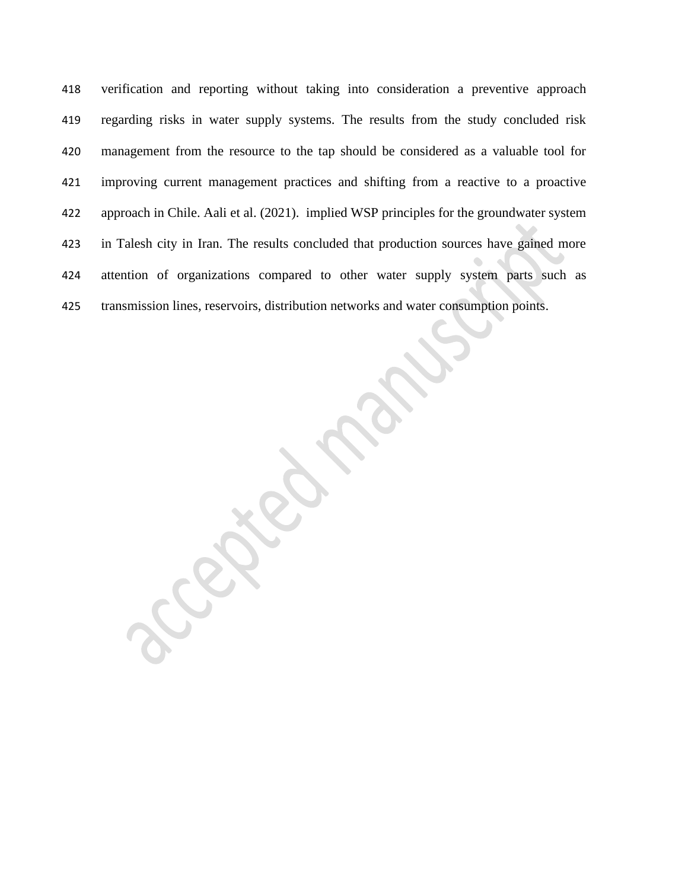verification and reporting without taking into consideration a preventive approach regarding risks in water supply systems. The results from the study concluded risk management from the resource to the tap should be considered as a valuable tool for improving current management practices and shifting from a reactive to a proactive approach in Chile. Aali et al. (2021). implied WSP principles for the groundwater system in Talesh city in Iran. The results concluded that production sources have gained more attention of organizations compared to other water supply system parts such as transmission lines, reservoirs, distribution networks and water consumption points.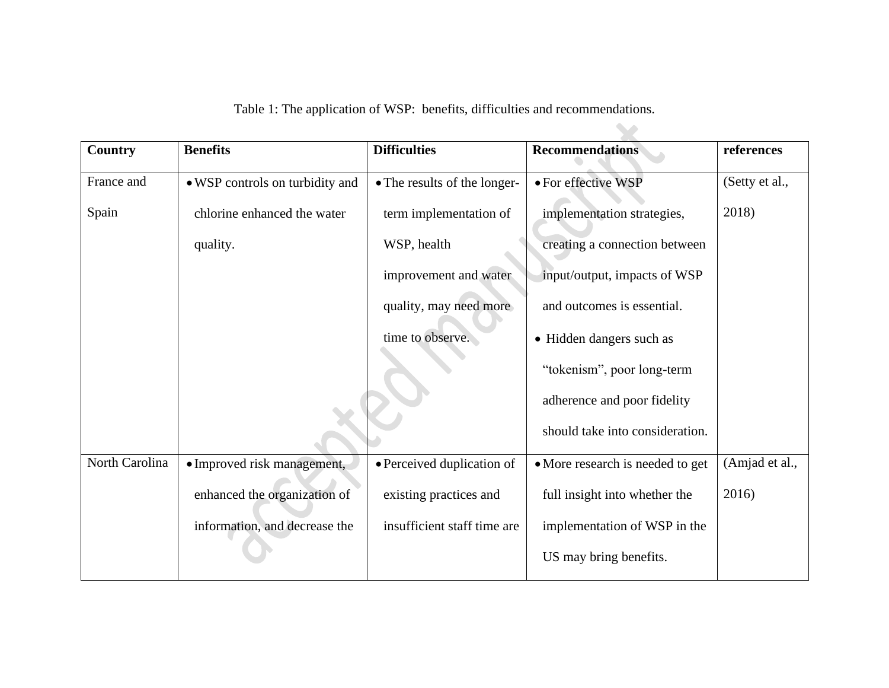| Country        | <b>Benefits</b>                 | <b>Difficulties</b>          | <b>Recommendations</b>           | references     |
|----------------|---------------------------------|------------------------------|----------------------------------|----------------|
| France and     | • WSP controls on turbidity and | • The results of the longer- | · For effective WSP              | (Setty et al., |
| Spain          | chlorine enhanced the water     | term implementation of       | implementation strategies,       | 2018)          |
|                | quality.                        | WSP, health                  | creating a connection between    |                |
|                |                                 | improvement and water        | input/output, impacts of WSP     |                |
|                |                                 | quality, may need more       | and outcomes is essential.       |                |
|                |                                 | time to observe.             | • Hidden dangers such as         |                |
|                |                                 |                              | "tokenism", poor long-term       |                |
|                |                                 |                              | adherence and poor fidelity      |                |
|                |                                 |                              | should take into consideration.  |                |
| North Carolina | • Improved risk management,     | • Perceived duplication of   | • More research is needed to get | (Amjad et al., |
|                | enhanced the organization of    | existing practices and       | full insight into whether the    | 2016)          |
|                | information, and decrease the   | insufficient staff time are  | implementation of WSP in the     |                |
|                |                                 |                              | US may bring benefits.           |                |

Table 1: The application of WSP: benefits, difficulties and recommendations.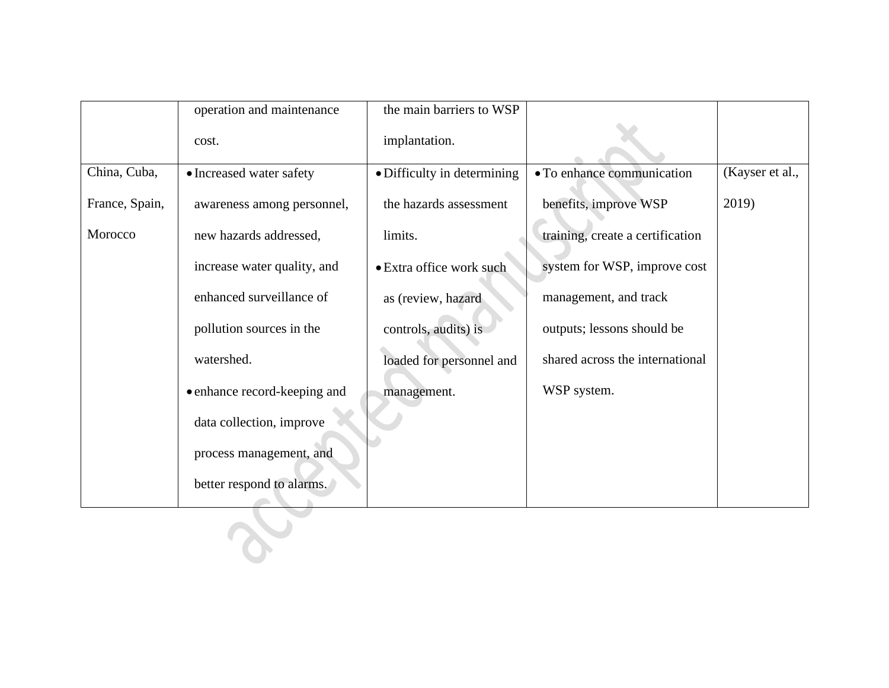|                | operation and maintenance    | the main barriers to WSP    |                                  |                 |
|----------------|------------------------------|-----------------------------|----------------------------------|-----------------|
|                | cost.                        | implantation.               |                                  |                 |
| China, Cuba,   | • Increased water safety     | · Difficulty in determining | • To enhance communication       | (Kayser et al., |
| France, Spain, | awareness among personnel,   | the hazards assessment      | benefits, improve WSP            | 2019)           |
| Morocco        | new hazards addressed,       | limits.                     | training, create a certification |                 |
|                | increase water quality, and  | • Extra office work such    | system for WSP, improve cost     |                 |
|                | enhanced surveillance of     | as (review, hazard          | management, and track            |                 |
|                | pollution sources in the     | controls, audits) is        | outputs; lessons should be       |                 |
|                | watershed.                   | loaded for personnel and    | shared across the international  |                 |
|                | • enhance record-keeping and | management.                 | WSP system.                      |                 |
|                | data collection, improve     |                             |                                  |                 |
|                | process management, and      |                             |                                  |                 |
|                | better respond to alarms.    |                             |                                  |                 |
|                |                              |                             |                                  |                 |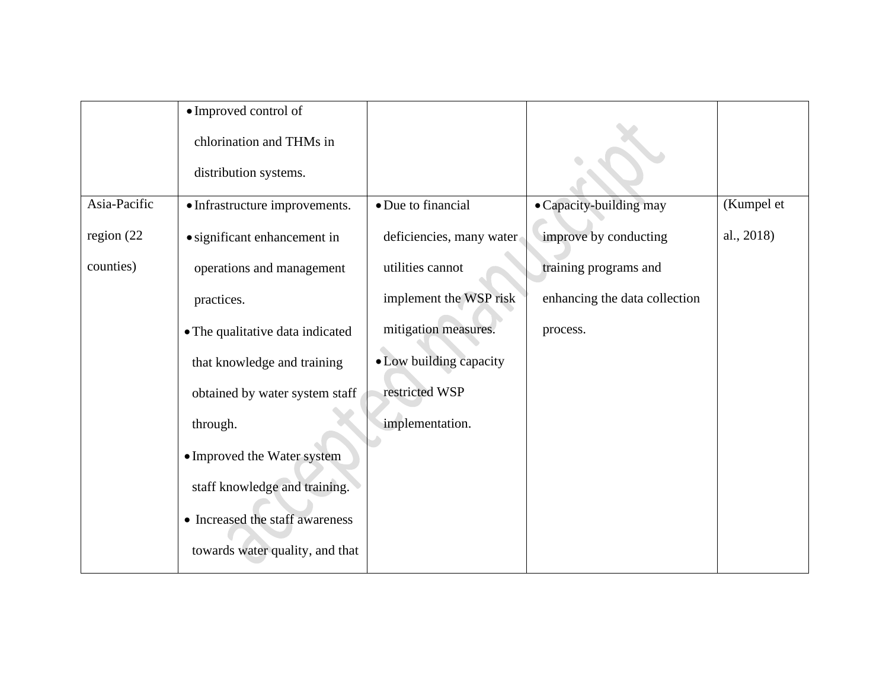|               | • Improved control of<br>chlorination and THMs in |                          |                               |            |
|---------------|---------------------------------------------------|--------------------------|-------------------------------|------------|
|               | distribution systems.                             |                          |                               |            |
| Asia-Pacific  | • Infrastructure improvements.                    | • Due to financial       | • Capacity-building may       | (Kumpel et |
| region $(22)$ | · significant enhancement in                      | deficiencies, many water | improve by conducting         | al., 2018) |
| counties)     | operations and management                         | utilities cannot         | training programs and         |            |
|               | practices.                                        | implement the WSP risk   | enhancing the data collection |            |
|               | • The qualitative data indicated                  | mitigation measures.     | process.                      |            |
|               | that knowledge and training                       | • Low building capacity  |                               |            |
|               | obtained by water system staff                    | restricted WSP           |                               |            |
|               | through.                                          | implementation.          |                               |            |
|               | · Improved the Water system                       |                          |                               |            |
|               | staff knowledge and training.                     |                          |                               |            |
|               | • Increased the staff awareness                   |                          |                               |            |
|               | towards water quality, and that                   |                          |                               |            |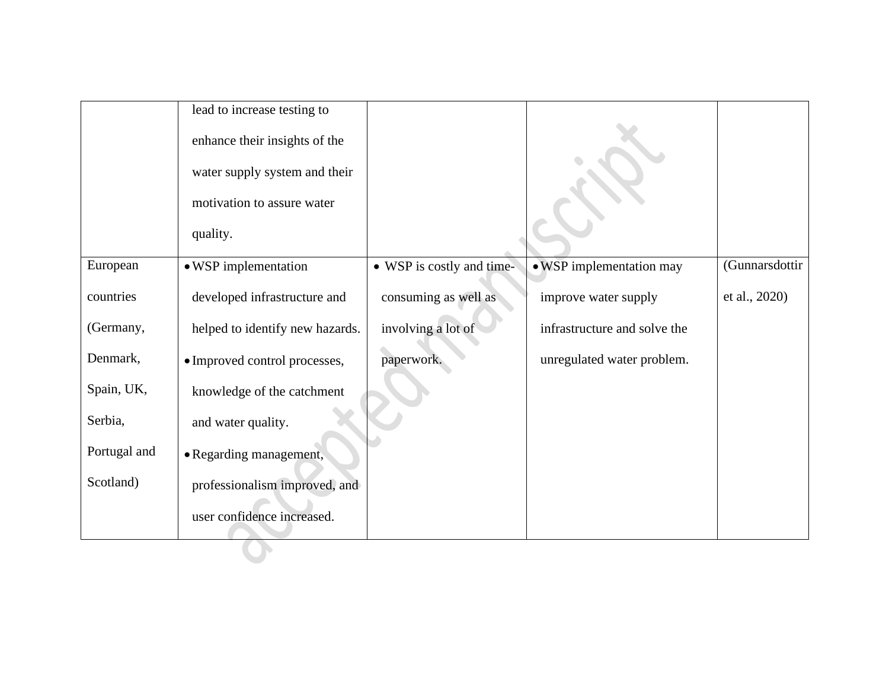|              | lead to increase testing to     |                           |                              |                |
|--------------|---------------------------------|---------------------------|------------------------------|----------------|
|              | enhance their insights of the   |                           |                              |                |
|              | water supply system and their   |                           |                              |                |
|              | motivation to assure water      |                           |                              |                |
|              | quality.                        |                           |                              |                |
| European     | • WSP implementation            | • WSP is costly and time- | • WSP implementation may     | (Gunnarsdottir |
| countries    | developed infrastructure and    | consuming as well as      | improve water supply         | et al., 2020)  |
| (Germany,    | helped to identify new hazards. | involving a lot of        | infrastructure and solve the |                |
| Denmark,     | · Improved control processes,   | paperwork.                | unregulated water problem.   |                |
| Spain, UK,   | knowledge of the catchment      |                           |                              |                |
| Serbia,      | and water quality.              |                           |                              |                |
| Portugal and | • Regarding management,         |                           |                              |                |
| Scotland)    | professionalism improved, and   |                           |                              |                |
|              | user confidence increased.      |                           |                              |                |
|              |                                 |                           |                              |                |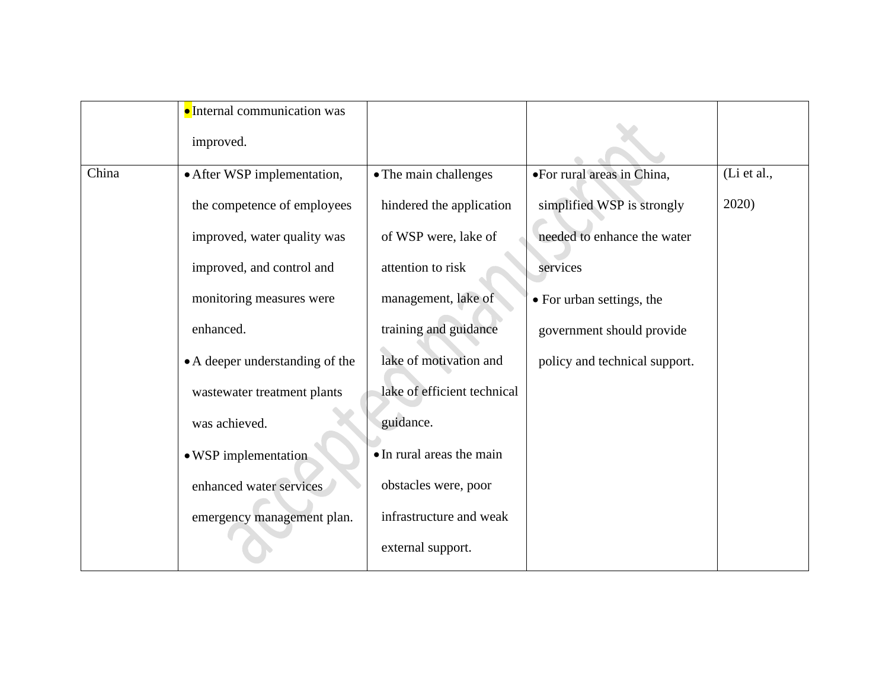|       | • Internal communication was    |                             |                               |             |
|-------|---------------------------------|-----------------------------|-------------------------------|-------------|
|       | improved.                       |                             |                               |             |
| China | • After WSP implementation,     | • The main challenges       | •For rural areas in China,    | (Li et al., |
|       | the competence of employees     | hindered the application    | simplified WSP is strongly    | 2020)       |
|       | improved, water quality was     | of WSP were, lake of        | needed to enhance the water   |             |
|       | improved, and control and       | attention to risk           | services                      |             |
|       | monitoring measures were        | management, lake of         | • For urban settings, the     |             |
|       | enhanced.                       | training and guidance       | government should provide     |             |
|       | • A deeper understanding of the | lake of motivation and      | policy and technical support. |             |
|       | wastewater treatment plants     | lake of efficient technical |                               |             |
|       | was achieved.                   | guidance.                   |                               |             |
|       | • WSP implementation            | • In rural areas the main   |                               |             |
|       | enhanced water services         | obstacles were, poor        |                               |             |
|       | emergency management plan.      | infrastructure and weak     |                               |             |
|       |                                 | external support.           |                               |             |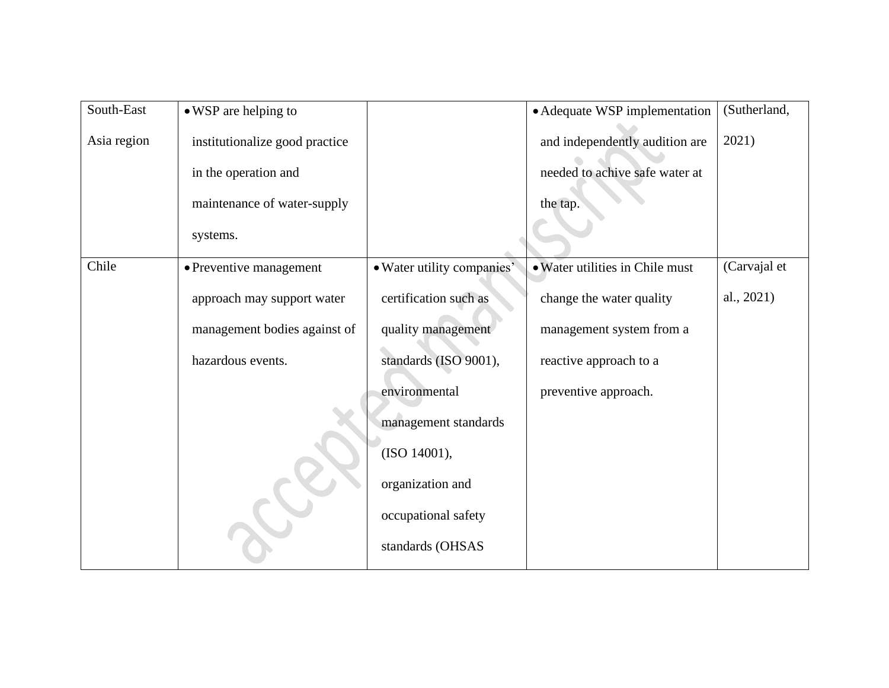| South-East  | • WSP are helping to           |                            | • Adequate WSP implementation   | (Sutherland, |
|-------------|--------------------------------|----------------------------|---------------------------------|--------------|
| Asia region | institutionalize good practice |                            | and independently audition are  | 2021)        |
|             | in the operation and           |                            | needed to achive safe water at  |              |
|             | maintenance of water-supply    |                            | the tap.                        |              |
|             | systems.                       |                            |                                 |              |
| Chile       | • Preventive management        | · Water utility companies' | • Water utilities in Chile must | (Carvajal et |
|             | approach may support water     | certification such as      | change the water quality        | al., 2021)   |
|             | management bodies against of   | quality management         | management system from a        |              |
|             | hazardous events.              | standards (ISO 9001),      | reactive approach to a          |              |
|             |                                | environmental              | preventive approach.            |              |
|             |                                | management standards       |                                 |              |
|             |                                | (ISO 14001),               |                                 |              |
|             |                                | organization and           |                                 |              |
|             |                                | occupational safety        |                                 |              |
|             |                                | standards (OHSAS           |                                 |              |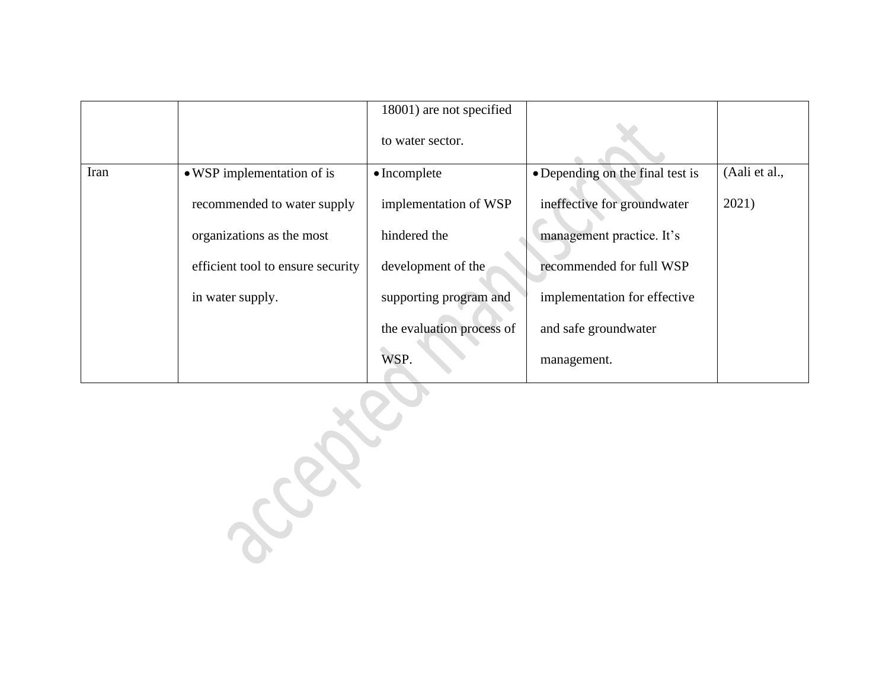|      |                                   | 18001) are not specified  |                                  |               |
|------|-----------------------------------|---------------------------|----------------------------------|---------------|
|      |                                   | to water sector.          |                                  |               |
| Iran | • WSP implementation of is        | $\bullet$ Incomplete      | • Depending on the final test is | (Aali et al., |
|      | recommended to water supply       | implementation of WSP     | ineffective for groundwater      | 2021)         |
|      | organizations as the most         | hindered the              | management practice. It's        |               |
|      | efficient tool to ensure security | development of the        | recommended for full WSP         |               |
|      | in water supply.                  | supporting program and    | implementation for effective     |               |
|      |                                   | the evaluation process of | and safe groundwater             |               |
|      |                                   | WSP.                      | management.                      |               |

Lake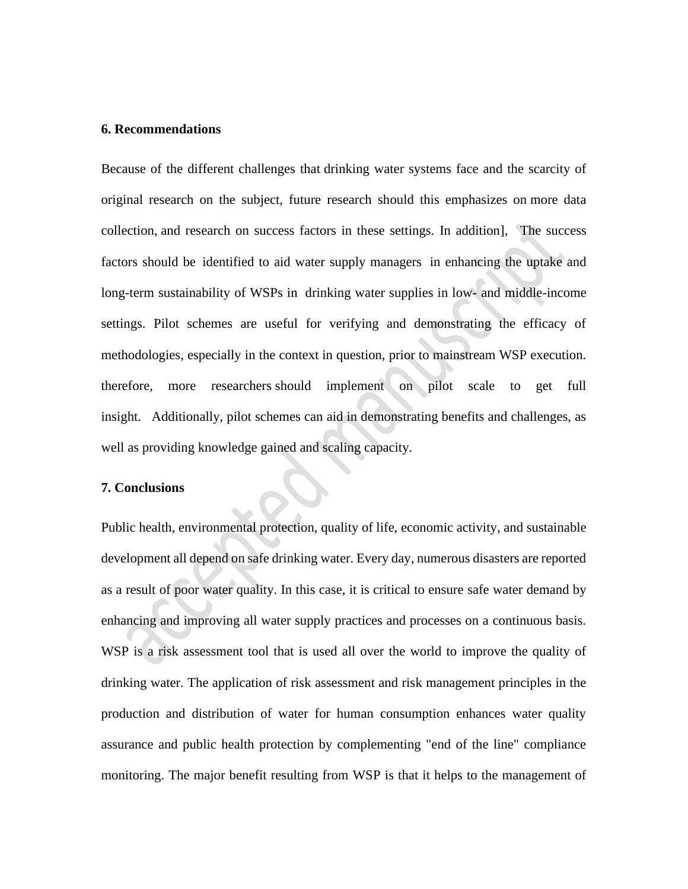#### **6. Recommendations**

Because of the different challenges that drinking water systems face and the scarcity of original research on the subject, future research should this emphasizes on more data collection, and research on success factors in these settings. In addition], The success factors should be identified to aid water supply managers in enhancing the uptake and long-term sustainability of WSPs in drinking water supplies in low- and middle-income settings. Pilot schemes are useful for verifying and demonstrating the efficacy of methodologies, especially in the context in question, prior to mainstream WSP execution. therefore, more researchers should implement on pilot scale to get full insight. Additionally, pilot schemes can aid in demonstrating benefits and challenges, as well as providing knowledge gained and scaling capacity.

### **7. Conclusions**

Public health, environmental protection, quality of life, economic activity, and sustainable development all depend on safe drinking water. Every day, numerous disasters are reported as a result of poor water quality. In this case, it is critical to ensure safe water demand by enhancing and improving all water supply practices and processes on a continuous basis. WSP is a risk assessment tool that is used all over the world to improve the quality of drinking water. The application of risk assessment and risk management principles in the production and distribution of water for human consumption enhances water quality assurance and public health protection by complementing "end of the line" compliance monitoring. The major benefit resulting from WSP is that it helps to the management of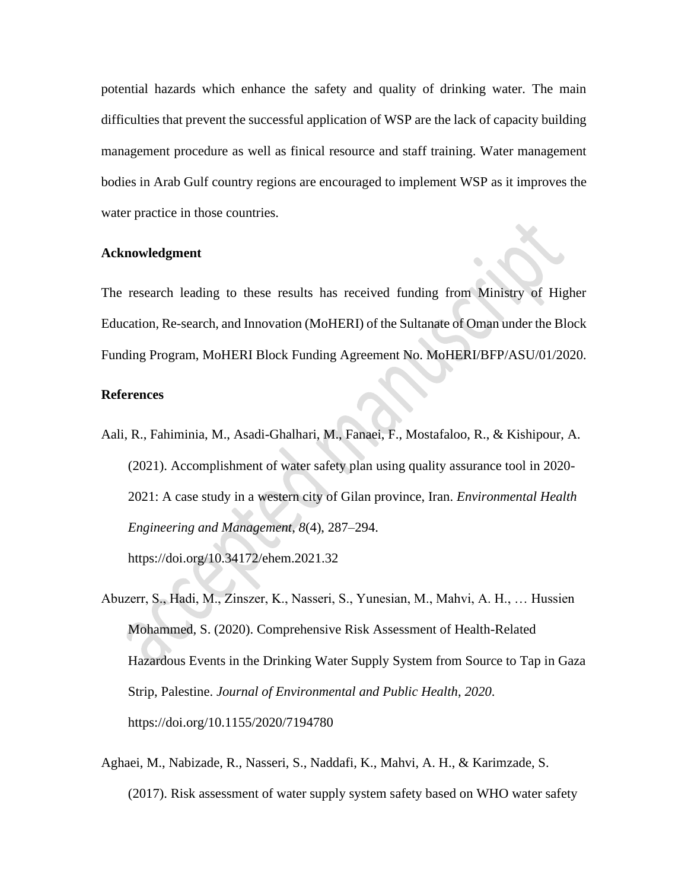potential hazards which enhance the safety and quality of drinking water. The main difficulties that prevent the successful application of WSP are the lack of capacity building management procedure as well as finical resource and staff training. Water management bodies in Arab Gulf country regions are encouraged to implement WSP as it improves the water practice in those countries.

#### **Acknowledgment**

The research leading to these results has received funding from Ministry of Higher Education, Re-search, and Innovation (MoHERI) of the Sultanate of Oman under the Block Funding Program, MoHERI Block Funding Agreement No. MoHERI/BFP/ASU/01/2020.

#### **References**

- Aali, R., Fahiminia, M., Asadi-Ghalhari, M., Fanaei, F., Mostafaloo, R., & Kishipour, A. (2021). Accomplishment of water safety plan using quality assurance tool in 2020- 2021: A case study in a western city of Gilan province, Iran. *Environmental Health Engineering and Management*, *8*(4), 287–294. https://doi.org/10.34172/ehem.2021.32
- Abuzerr, S., Hadi, M., Zinszer, K., Nasseri, S., Yunesian, M., Mahvi, A. H., … Hussien Mohammed, S. (2020). Comprehensive Risk Assessment of Health-Related Hazardous Events in the Drinking Water Supply System from Source to Tap in Gaza Strip, Palestine. *Journal of Environmental and Public Health*, *2020*. https://doi.org/10.1155/2020/7194780
- Aghaei, M., Nabizade, R., Nasseri, S., Naddafi, K., Mahvi, A. H., & Karimzade, S. (2017). Risk assessment of water supply system safety based on WHO water safety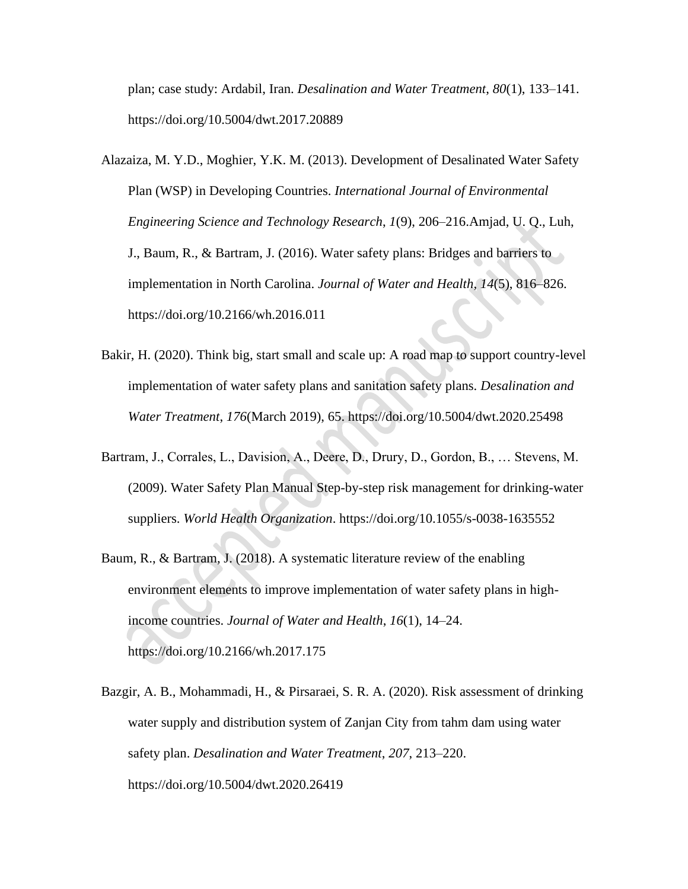plan; case study: Ardabil, Iran. *Desalination and Water Treatment*, *80*(1), 133–141. https://doi.org/10.5004/dwt.2017.20889

- Alazaiza, M. Y.D., Moghier, Y.K. M. (2013). Development of Desalinated Water Safety Plan (WSP) in Developing Countries. *International Journal of Environmental Engineering Science and Technology Research*, *1*(9), 206–216.Amjad, U. Q., Luh, J., Baum, R., & Bartram, J. (2016). Water safety plans: Bridges and barriers to implementation in North Carolina. *Journal of Water and Health*, *14*(5), 816–826. https://doi.org/10.2166/wh.2016.011
- Bakir, H. (2020). Think big, start small and scale up: A road map to support country-level implementation of water safety plans and sanitation safety plans. *Desalination and Water Treatment*, *176*(March 2019), 65. https://doi.org/10.5004/dwt.2020.25498
- Bartram, J., Corrales, L., Davision, A., Deere, D., Drury, D., Gordon, B., … Stevens, M. (2009). Water Safety Plan Manual Step-by-step risk management for drinking-water suppliers. *World Health Organization*. https://doi.org/10.1055/s-0038-1635552
- Baum, R., & Bartram, J. (2018). A systematic literature review of the enabling environment elements to improve implementation of water safety plans in highincome countries. *Journal of Water and Health*, *16*(1), 14–24. https://doi.org/10.2166/wh.2017.175
- Bazgir, A. B., Mohammadi, H., & Pirsaraei, S. R. A. (2020). Risk assessment of drinking water supply and distribution system of Zanjan City from tahm dam using water safety plan. *Desalination and Water Treatment*, *207*, 213–220. https://doi.org/10.5004/dwt.2020.26419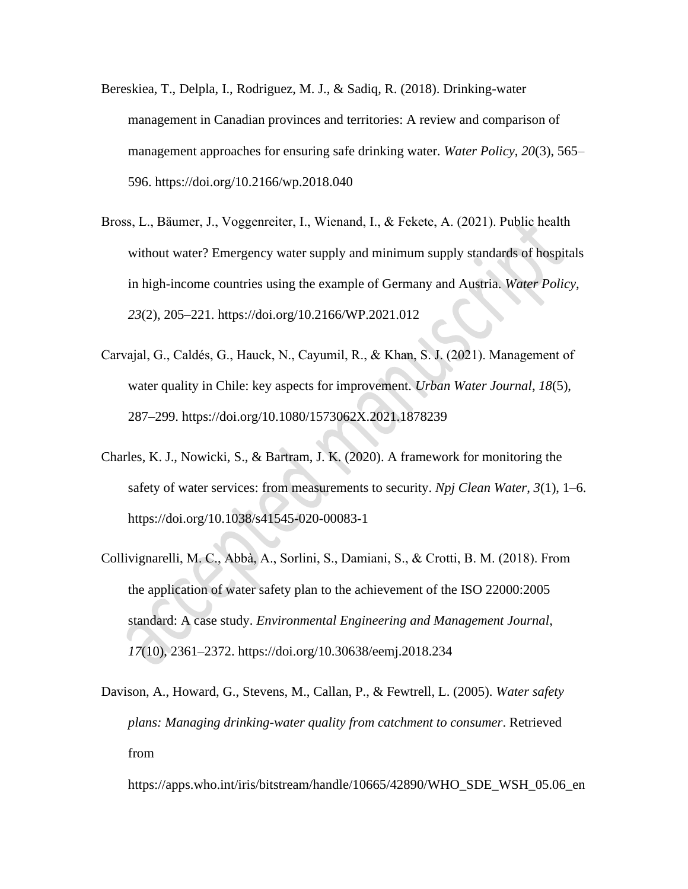- Bereskiea, T., Delpla, I., Rodriguez, M. J., & Sadiq, R. (2018). Drinking-water management in Canadian provinces and territories: A review and comparison of management approaches for ensuring safe drinking water. *Water Policy*, *20*(3), 565– 596. https://doi.org/10.2166/wp.2018.040
- Bross, L., Bäumer, J., Voggenreiter, I., Wienand, I., & Fekete, A. (2021). Public health without water? Emergency water supply and minimum supply standards of hospitals in high-income countries using the example of Germany and Austria. *Water Policy*, *23*(2), 205–221. https://doi.org/10.2166/WP.2021.012
- Carvajal, G., Caldés, G., Hauck, N., Cayumil, R., & Khan, S. J. (2021). Management of water quality in Chile: key aspects for improvement. *Urban Water Journal*, *18*(5), 287–299. https://doi.org/10.1080/1573062X.2021.1878239
- Charles, K. J., Nowicki, S., & Bartram, J. K. (2020). A framework for monitoring the safety of water services: from measurements to security. *Npj Clean Water*, *3*(1), 1–6. https://doi.org/10.1038/s41545-020-00083-1
- Collivignarelli, M. C., Abbà, A., Sorlini, S., Damiani, S., & Crotti, B. M. (2018). From the application of water safety plan to the achievement of the ISO 22000:2005 standard: A case study. *Environmental Engineering and Management Journal*, *17*(10), 2361–2372. https://doi.org/10.30638/eemj.2018.234
- Davison, A., Howard, G., Stevens, M., Callan, P., & Fewtrell, L. (2005). *Water safety plans: Managing drinking-water quality from catchment to consumer*. Retrieved from

https://apps.who.int/iris/bitstream/handle/10665/42890/WHO\_SDE\_WSH\_05.06\_en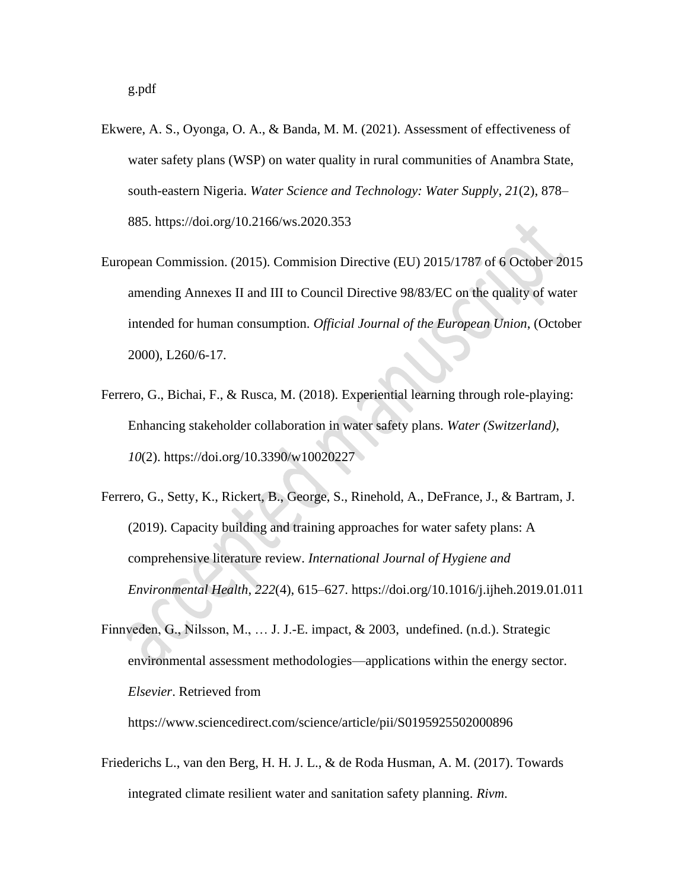- Ekwere, A. S., Oyonga, O. A., & Banda, M. M. (2021). Assessment of effectiveness of water safety plans (WSP) on water quality in rural communities of Anambra State, south-eastern Nigeria. *Water Science and Technology: Water Supply*, *21*(2), 878– 885. https://doi.org/10.2166/ws.2020.353
- European Commission. (2015). Commision Directive (EU) 2015/1787 of 6 October 2015 amending Annexes II and III to Council Directive 98/83/EC on the quality of water intended for human consumption. *Official Journal of the European Union*, (October 2000), L260/6-17.
- Ferrero, G., Bichai, F., & Rusca, M. (2018). Experiential learning through role-playing: Enhancing stakeholder collaboration in water safety plans. *Water (Switzerland)*, *10*(2). https://doi.org/10.3390/w10020227
- Ferrero, G., Setty, K., Rickert, B., George, S., Rinehold, A., DeFrance, J., & Bartram, J. (2019). Capacity building and training approaches for water safety plans: A comprehensive literature review. *International Journal of Hygiene and Environmental Health*, *222*(4), 615–627. https://doi.org/10.1016/j.ijheh.2019.01.011
- Finnveden, G., Nilsson, M., … J. J.-E. impact, & 2003, undefined. (n.d.). Strategic environmental assessment methodologies—applications within the energy sector. *Elsevier*. Retrieved from

https://www.sciencedirect.com/science/article/pii/S0195925502000896

Friederichs L., van den Berg, H. H. J. L., & de Roda Husman, A. M. (2017). Towards integrated climate resilient water and sanitation safety planning. *Rivm*.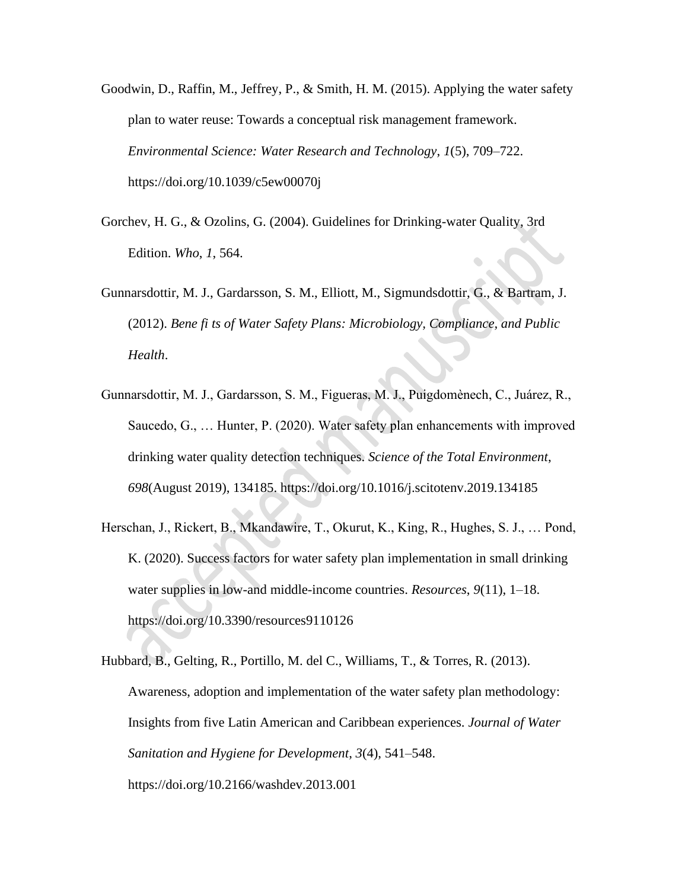- Goodwin, D., Raffin, M., Jeffrey, P., & Smith, H. M. (2015). Applying the water safety plan to water reuse: Towards a conceptual risk management framework. *Environmental Science: Water Research and Technology*, *1*(5), 709–722. https://doi.org/10.1039/c5ew00070j
- Gorchev, H. G., & Ozolins, G. (2004). Guidelines for Drinking-water Quality, 3rd Edition. *Who*, *1*, 564.
- Gunnarsdottir, M. J., Gardarsson, S. M., Elliott, M., Sigmundsdottir, G., & Bartram, J. (2012). *Bene fi ts of Water Safety Plans: Microbiology, Compliance, and Public Health*.
- Gunnarsdottir, M. J., Gardarsson, S. M., Figueras, M. J., Puigdomènech, C., Juárez, R., Saucedo, G., … Hunter, P. (2020). Water safety plan enhancements with improved drinking water quality detection techniques. *Science of the Total Environment*, *698*(August 2019), 134185. https://doi.org/10.1016/j.scitotenv.2019.134185
- Herschan, J., Rickert, B., Mkandawire, T., Okurut, K., King, R., Hughes, S. J., … Pond, K. (2020). Success factors for water safety plan implementation in small drinking water supplies in low-and middle-income countries. *Resources*, *9*(11), 1–18. https://doi.org/10.3390/resources9110126
- Hubbard, B., Gelting, R., Portillo, M. del C., Williams, T., & Torres, R. (2013). Awareness, adoption and implementation of the water safety plan methodology: Insights from five Latin American and Caribbean experiences. *Journal of Water Sanitation and Hygiene for Development*, *3*(4), 541–548. https://doi.org/10.2166/washdev.2013.001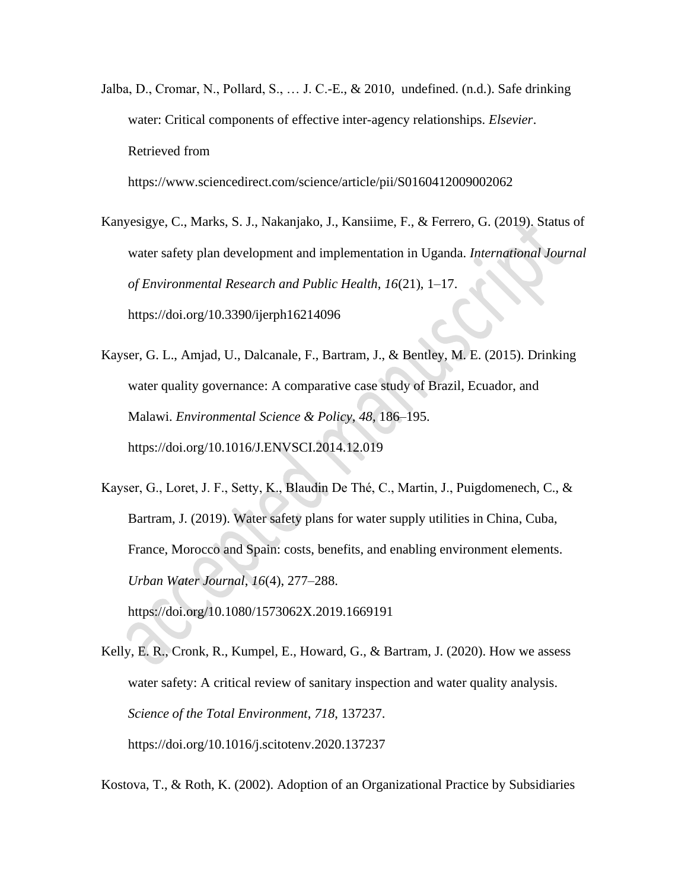Jalba, D., Cromar, N., Pollard, S., … J. C.-E., & 2010, undefined. (n.d.). Safe drinking water: Critical components of effective inter-agency relationships. *Elsevier*. Retrieved from

https://www.sciencedirect.com/science/article/pii/S0160412009002062

- Kanyesigye, C., Marks, S. J., Nakanjako, J., Kansiime, F., & Ferrero, G. (2019). Status of water safety plan development and implementation in Uganda. *International Journal of Environmental Research and Public Health*, *16*(21), 1–17. https://doi.org/10.3390/ijerph16214096
- Kayser, G. L., Amjad, U., Dalcanale, F., Bartram, J., & Bentley, M. E. (2015). Drinking water quality governance: A comparative case study of Brazil, Ecuador, and Malawi. *Environmental Science & Policy*, *48*, 186–195. https://doi.org/10.1016/J.ENVSCI.2014.12.019
- Kayser, G., Loret, J. F., Setty, K., Blaudin De Thé, C., Martin, J., Puigdomenech, C., & Bartram, J. (2019). Water safety plans for water supply utilities in China, Cuba, France, Morocco and Spain: costs, benefits, and enabling environment elements. *Urban Water Journal*, *16*(4), 277–288.

https://doi.org/10.1080/1573062X.2019.1669191

Kelly, E. R., Cronk, R., Kumpel, E., Howard, G., & Bartram, J. (2020). How we assess water safety: A critical review of sanitary inspection and water quality analysis. *Science of the Total Environment*, *718*, 137237. https://doi.org/10.1016/j.scitotenv.2020.137237

Kostova, T., & Roth, K. (2002). Adoption of an Organizational Practice by Subsidiaries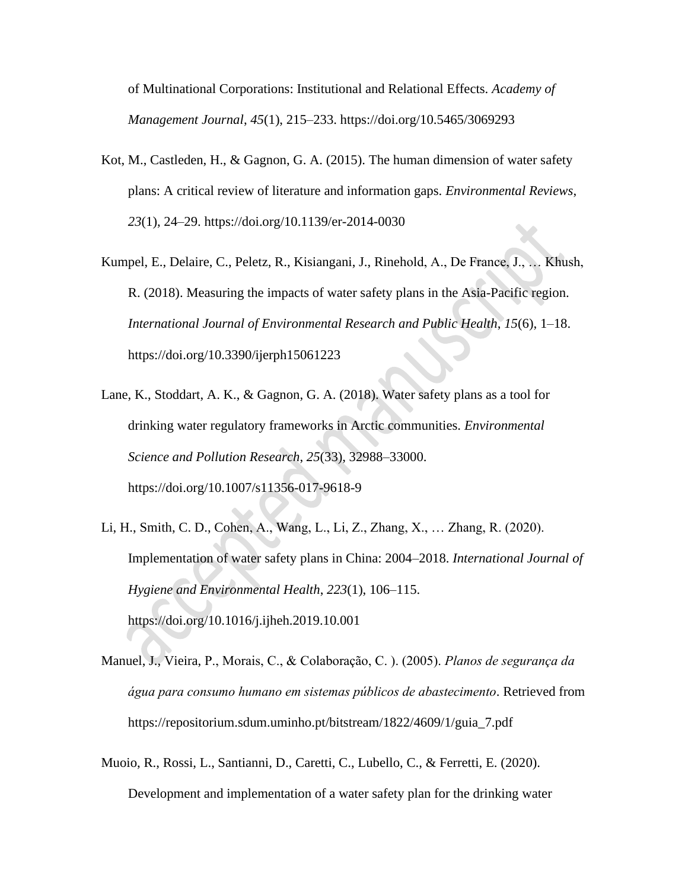of Multinational Corporations: Institutional and Relational Effects. *Academy of Management Journal*, *45*(1), 215–233. https://doi.org/10.5465/3069293

- Kot, M., Castleden, H., & Gagnon, G. A. (2015). The human dimension of water safety plans: A critical review of literature and information gaps. *Environmental Reviews*, *23*(1), 24–29. https://doi.org/10.1139/er-2014-0030
- Kumpel, E., Delaire, C., Peletz, R., Kisiangani, J., Rinehold, A., De France, J., … Khush, R. (2018). Measuring the impacts of water safety plans in the Asia-Pacific region. *International Journal of Environmental Research and Public Health*, *15*(6), 1–18. https://doi.org/10.3390/ijerph15061223
- Lane, K., Stoddart, A. K., & Gagnon, G. A. (2018). Water safety plans as a tool for drinking water regulatory frameworks in Arctic communities. *Environmental Science and Pollution Research*, *25*(33), 32988–33000. https://doi.org/10.1007/s11356-017-9618-9
- Li, H., Smith, C. D., Cohen, A., Wang, L., Li, Z., Zhang, X., … Zhang, R. (2020). Implementation of water safety plans in China: 2004–2018. *International Journal of Hygiene and Environmental Health*, *223*(1), 106–115. https://doi.org/10.1016/j.ijheh.2019.10.001
- Manuel, J., Vieira, P., Morais, C., & Colaboração, C. ). (2005). *Planos de segurança da água para consumo humano em sistemas públicos de abastecimento*. Retrieved from https://repositorium.sdum.uminho.pt/bitstream/1822/4609/1/guia\_7.pdf
- Muoio, R., Rossi, L., Santianni, D., Caretti, C., Lubello, C., & Ferretti, E. (2020). Development and implementation of a water safety plan for the drinking water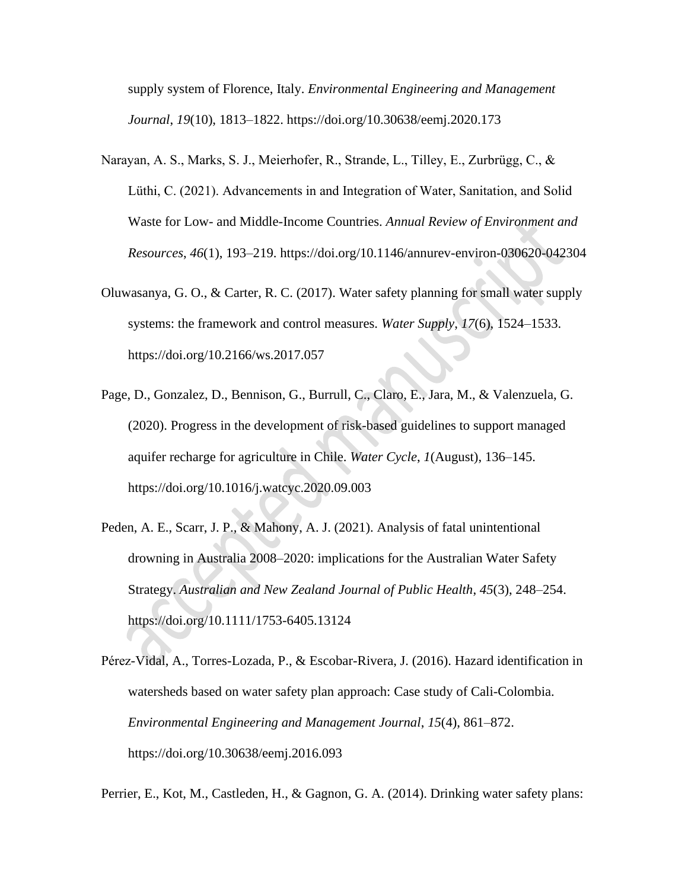supply system of Florence, Italy. *Environmental Engineering and Management Journal*, *19*(10), 1813–1822. https://doi.org/10.30638/eemj.2020.173

- Narayan, A. S., Marks, S. J., Meierhofer, R., Strande, L., Tilley, E., Zurbrügg, C., & Lüthi, C. (2021). Advancements in and Integration of Water, Sanitation, and Solid Waste for Low- and Middle-Income Countries. *Annual Review of Environment and Resources*, *46*(1), 193–219. https://doi.org/10.1146/annurev-environ-030620-042304
- Oluwasanya, G. O., & Carter, R. C. (2017). Water safety planning for small water supply systems: the framework and control measures. *Water Supply*, *17*(6), 1524–1533. https://doi.org/10.2166/ws.2017.057
- Page, D., Gonzalez, D., Bennison, G., Burrull, C., Claro, E., Jara, M., & Valenzuela, G. (2020). Progress in the development of risk-based guidelines to support managed aquifer recharge for agriculture in Chile. *Water Cycle*, *1*(August), 136–145. https://doi.org/10.1016/j.watcyc.2020.09.003
- Peden, A. E., Scarr, J. P., & Mahony, A. J. (2021). Analysis of fatal unintentional drowning in Australia 2008–2020: implications for the Australian Water Safety Strategy. *Australian and New Zealand Journal of Public Health*, *45*(3), 248–254. https://doi.org/10.1111/1753-6405.13124
- Pérez-Vidal, A., Torres-Lozada, P., & Escobar-Rivera, J. (2016). Hazard identification in watersheds based on water safety plan approach: Case study of Cali-Colombia. *Environmental Engineering and Management Journal*, *15*(4), 861–872. https://doi.org/10.30638/eemj.2016.093

Perrier, E., Kot, M., Castleden, H., & Gagnon, G. A. (2014). Drinking water safety plans: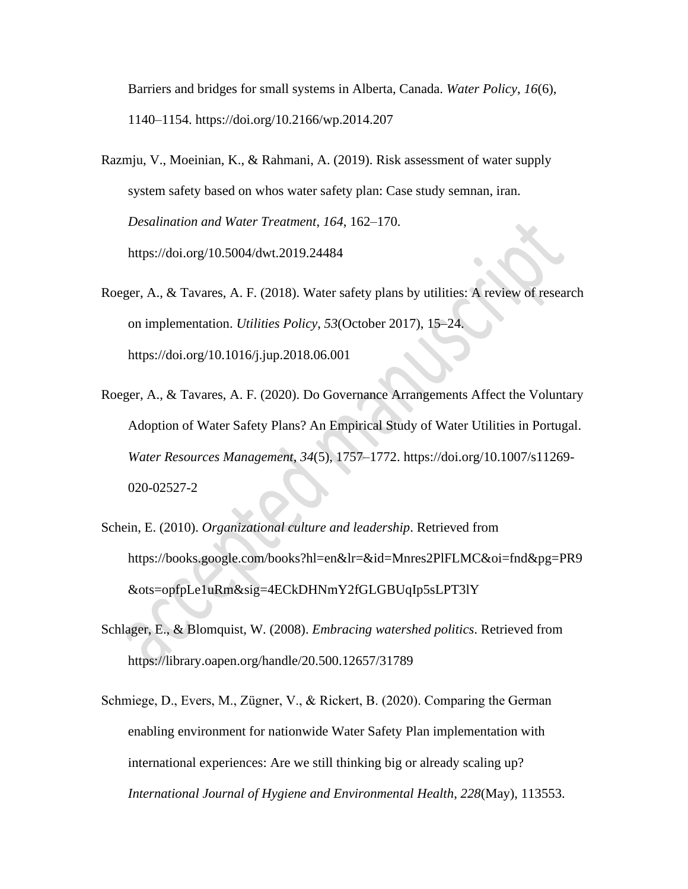Barriers and bridges for small systems in Alberta, Canada. *Water Policy*, *16*(6), 1140–1154. https://doi.org/10.2166/wp.2014.207

- Razmju, V., Moeinian, K., & Rahmani, A. (2019). Risk assessment of water supply system safety based on whos water safety plan: Case study semnan, iran. *Desalination and Water Treatment*, *164*, 162–170. https://doi.org/10.5004/dwt.2019.24484
- Roeger, A., & Tavares, A. F. (2018). Water safety plans by utilities: A review of research on implementation. *Utilities Policy*, *53*(October 2017), 15–24. https://doi.org/10.1016/j.jup.2018.06.001
- Roeger, A., & Tavares, A. F. (2020). Do Governance Arrangements Affect the Voluntary Adoption of Water Safety Plans? An Empirical Study of Water Utilities in Portugal. *Water Resources Management*, *34*(5), 1757–1772. https://doi.org/10.1007/s11269- 020-02527-2
- Schein, E. (2010). *Organizational culture and leadership*. Retrieved from https://books.google.com/books?hl=en&lr=&id=Mnres2PlFLMC&oi=fnd&pg=PR9 &ots=opfpLe1uRm&sig=4ECkDHNmY2fGLGBUqIp5sLPT3lY
- Schlager, E., & Blomquist, W. (2008). *Embracing watershed politics*. Retrieved from https://library.oapen.org/handle/20.500.12657/31789
- Schmiege, D., Evers, M., Zügner, V., & Rickert, B. (2020). Comparing the German enabling environment for nationwide Water Safety Plan implementation with international experiences: Are we still thinking big or already scaling up? *International Journal of Hygiene and Environmental Health*, *228*(May), 113553.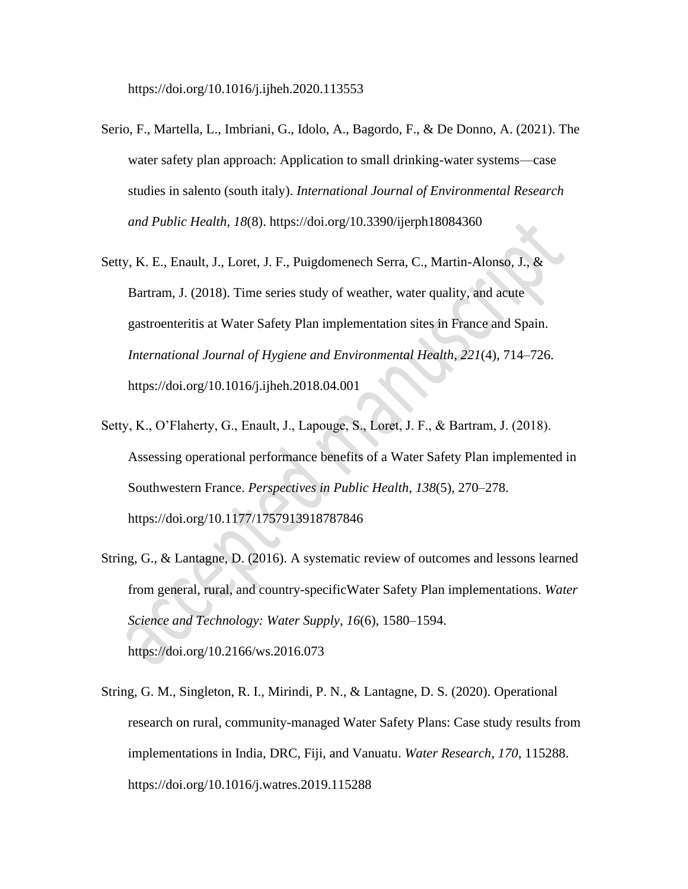https://doi.org/10.1016/j.ijheh.2020.113553

- Serio, F., Martella, L., Imbriani, G., Idolo, A., Bagordo, F., & De Donno, A. (2021). The water safety plan approach: Application to small drinking-water systems—case studies in salento (south italy). *International Journal of Environmental Research and Public Health*, *18*(8). https://doi.org/10.3390/ijerph18084360
- Setty, K. E., Enault, J., Loret, J. F., Puigdomenech Serra, C., Martin-Alonso, J., & Bartram, J. (2018). Time series study of weather, water quality, and acute gastroenteritis at Water Safety Plan implementation sites in France and Spain. *International Journal of Hygiene and Environmental Health*, *221*(4), 714–726. https://doi.org/10.1016/j.ijheh.2018.04.001
- Setty, K., O'Flaherty, G., Enault, J., Lapouge, S., Loret, J. F., & Bartram, J. (2018). Assessing operational performance benefits of a Water Safety Plan implemented in Southwestern France. *Perspectives in Public Health*, *138*(5), 270–278. https://doi.org/10.1177/1757913918787846
- String, G., & Lantagne, D. (2016). A systematic review of outcomes and lessons learned from general, rural, and country-specificWater Safety Plan implementations. *Water Science and Technology: Water Supply*, *16*(6), 1580–1594. https://doi.org/10.2166/ws.2016.073
- String, G. M., Singleton, R. I., Mirindi, P. N., & Lantagne, D. S. (2020). Operational research on rural, community-managed Water Safety Plans: Case study results from implementations in India, DRC, Fiji, and Vanuatu. *Water Research*, *170*, 115288. https://doi.org/10.1016/j.watres.2019.115288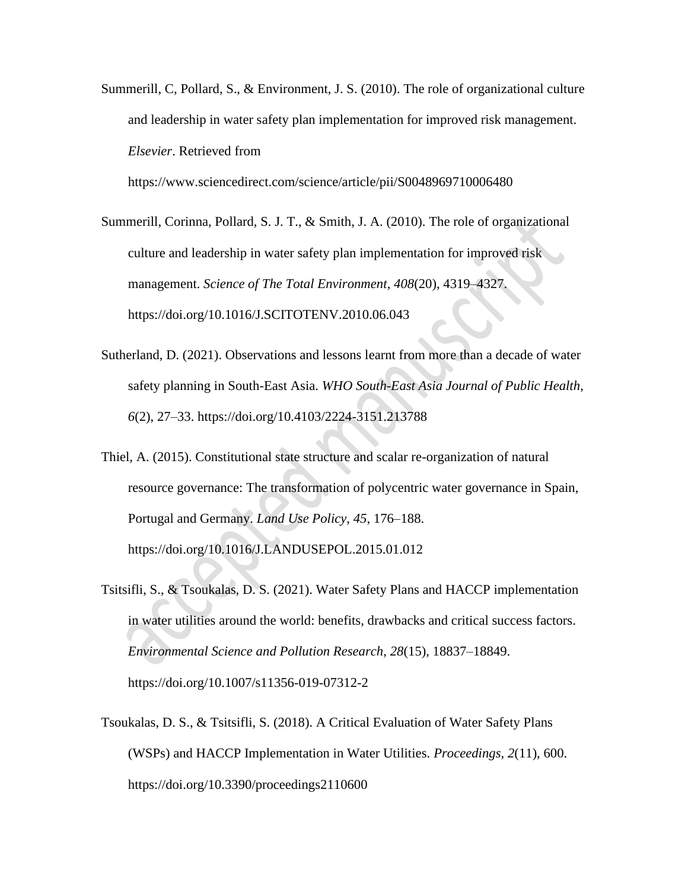Summerill, C, Pollard, S., & Environment, J. S. (2010). The role of organizational culture and leadership in water safety plan implementation for improved risk management. *Elsevier*. Retrieved from

https://www.sciencedirect.com/science/article/pii/S0048969710006480

- Summerill, Corinna, Pollard, S. J. T., & Smith, J. A. (2010). The role of organizational culture and leadership in water safety plan implementation for improved risk management. *Science of The Total Environment*, *408*(20), 4319–4327. https://doi.org/10.1016/J.SCITOTENV.2010.06.043
- Sutherland, D. (2021). Observations and lessons learnt from more than a decade of water safety planning in South-East Asia. *WHO South-East Asia Journal of Public Health*, *6*(2), 27–33. https://doi.org/10.4103/2224-3151.213788
- Thiel, A. (2015). Constitutional state structure and scalar re-organization of natural resource governance: The transformation of polycentric water governance in Spain, Portugal and Germany. *Land Use Policy*, *45*, 176–188. https://doi.org/10.1016/J.LANDUSEPOL.2015.01.012
- Tsitsifli, S., & Tsoukalas, D. S. (2021). Water Safety Plans and HACCP implementation in water utilities around the world: benefits, drawbacks and critical success factors. *Environmental Science and Pollution Research*, *28*(15), 18837–18849. https://doi.org/10.1007/s11356-019-07312-2
- Tsoukalas, D. S., & Tsitsifli, S. (2018). A Critical Evaluation of Water Safety Plans (WSPs) and HACCP Implementation in Water Utilities. *Proceedings*, *2*(11), 600. https://doi.org/10.3390/proceedings2110600